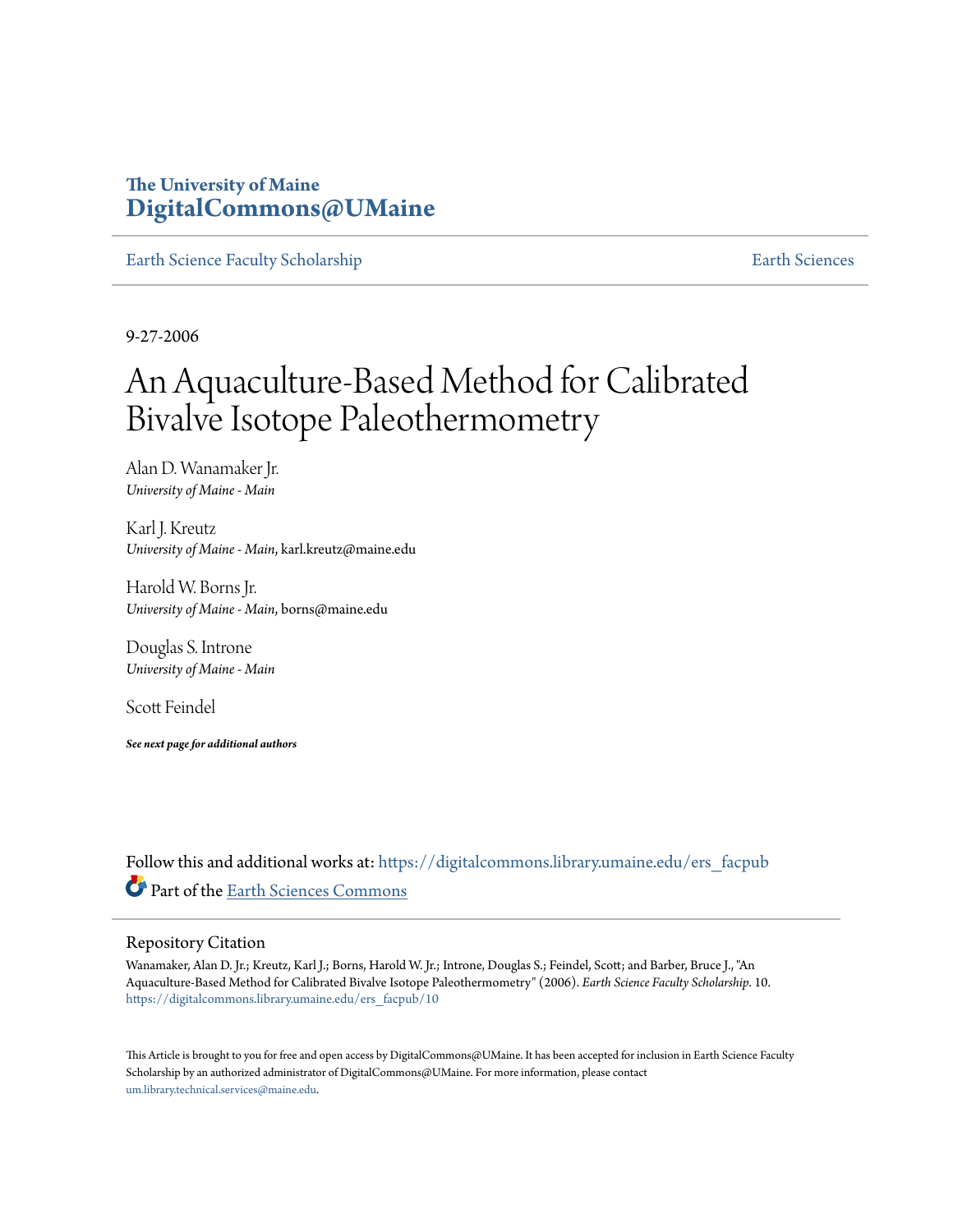# **The University of Maine [DigitalCommons@UMaine](https://digitalcommons.library.umaine.edu?utm_source=digitalcommons.library.umaine.edu%2Fers_facpub%2F10&utm_medium=PDF&utm_campaign=PDFCoverPages)**

[Earth Science Faculty Scholarship](https://digitalcommons.library.umaine.edu/ers_facpub?utm_source=digitalcommons.library.umaine.edu%2Fers_facpub%2F10&utm_medium=PDF&utm_campaign=PDFCoverPages) **[Earth Sciences](https://digitalcommons.library.umaine.edu/ers?utm_source=digitalcommons.library.umaine.edu%2Fers_facpub%2F10&utm_medium=PDF&utm_campaign=PDFCoverPages)** 

9-27-2006

# An Aquaculture-Based Method for Calibrated Bivalve Isotope Paleothermometry

Alan D. Wanamaker Jr. *University of Maine - Main*

Karl J. Kreutz *University of Maine - Main*, karl.kreutz@maine.edu

Harold W. Borns Jr. *University of Maine - Main*, borns@maine.edu

Douglas S. Introne *University of Maine - Main*

Scott Feindel

*See next page for additional authors*

Follow this and additional works at: [https://digitalcommons.library.umaine.edu/ers\\_facpub](https://digitalcommons.library.umaine.edu/ers_facpub?utm_source=digitalcommons.library.umaine.edu%2Fers_facpub%2F10&utm_medium=PDF&utm_campaign=PDFCoverPages) Part of the [Earth Sciences Commons](http://network.bepress.com/hgg/discipline/153?utm_source=digitalcommons.library.umaine.edu%2Fers_facpub%2F10&utm_medium=PDF&utm_campaign=PDFCoverPages)

#### Repository Citation

Wanamaker, Alan D. Jr.; Kreutz, Karl J.; Borns, Harold W. Jr.; Introne, Douglas S.; Feindel, Scott; and Barber, Bruce J., "An Aquaculture-Based Method for Calibrated Bivalve Isotope Paleothermometry" (2006). *Earth Science Faculty Scholarship*. 10. [https://digitalcommons.library.umaine.edu/ers\\_facpub/10](https://digitalcommons.library.umaine.edu/ers_facpub/10?utm_source=digitalcommons.library.umaine.edu%2Fers_facpub%2F10&utm_medium=PDF&utm_campaign=PDFCoverPages)

This Article is brought to you for free and open access by DigitalCommons@UMaine. It has been accepted for inclusion in Earth Science Faculty Scholarship by an authorized administrator of DigitalCommons@UMaine. For more information, please contact [um.library.technical.services@maine.edu](mailto:um.library.technical.services@maine.edu).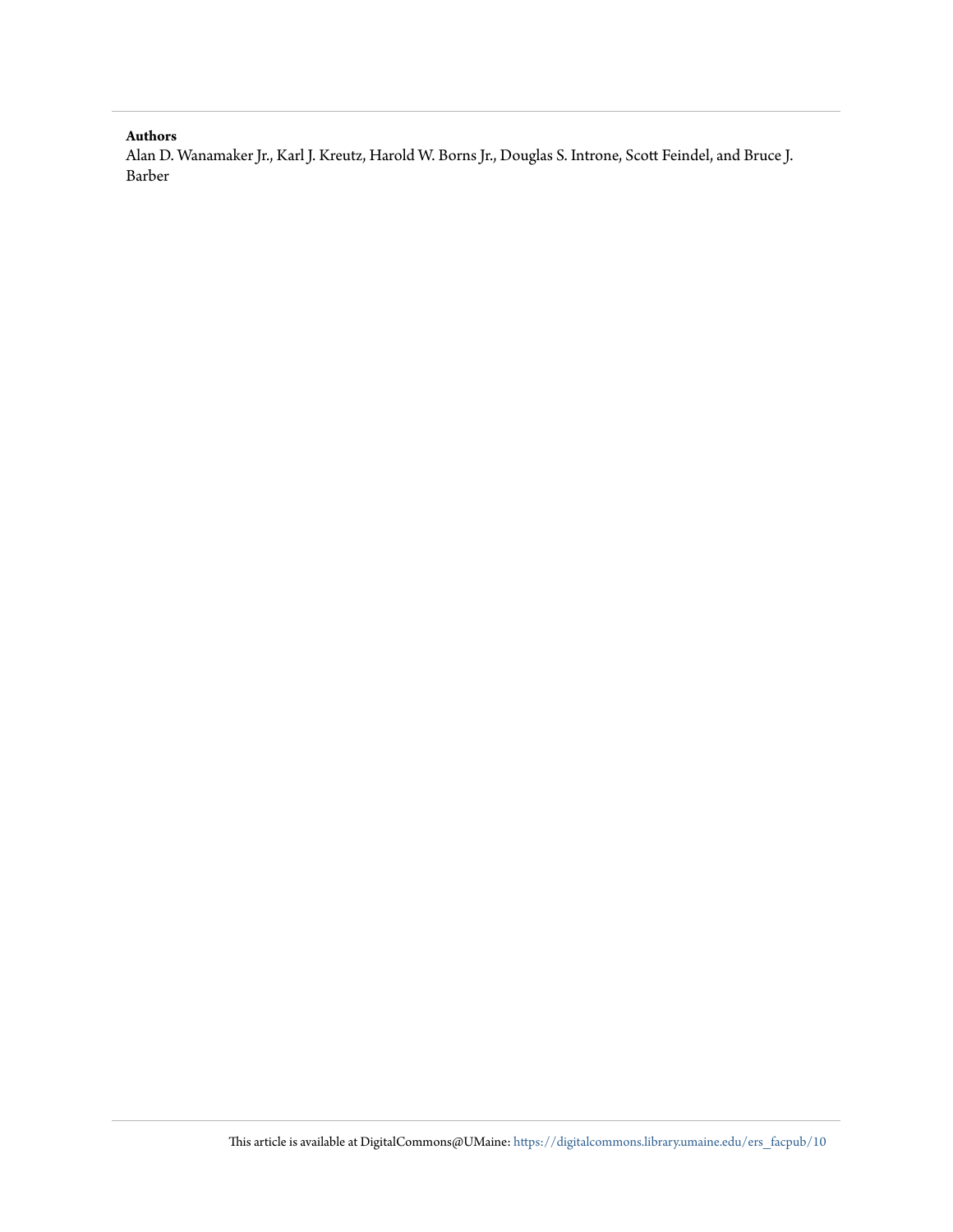#### **Authors**

Alan D. Wanamaker Jr., Karl J. Kreutz, Harold W. Borns Jr., Douglas S. Introne, Scott Feindel, and Bruce J. Barber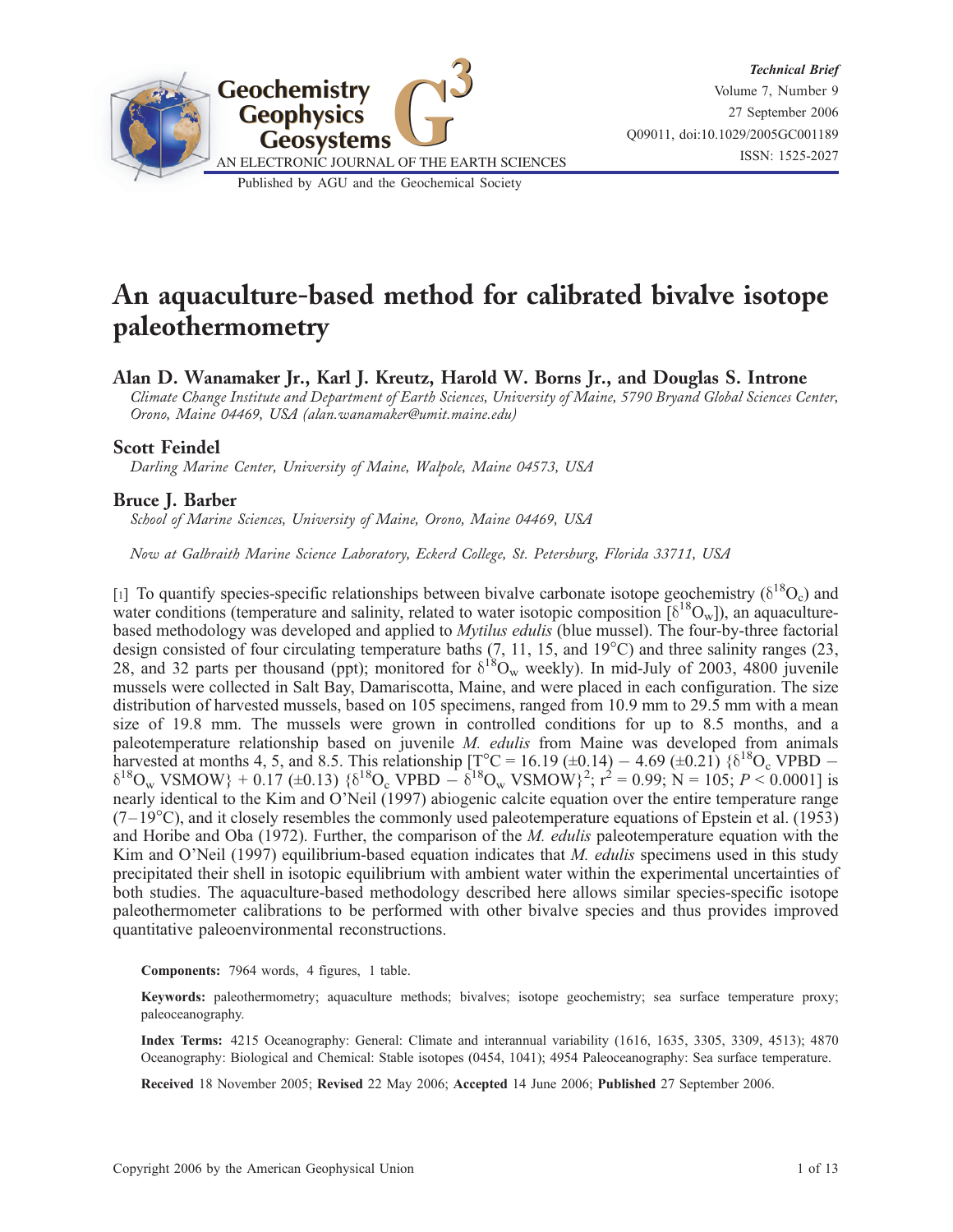

# An aquaculture-based method for calibrated bivalve isotope paleothermometry

Alan D. Wanamaker Jr., Karl J. Kreutz, Harold W. Borns Jr., and Douglas S. Introne

Climate Change Institute and Department of Earth Sciences, University of Maine, 5790 Bryand Global Sciences Center, Orono, Maine 04469, USA (alan.wanamaker@umit.maine.edu)

### Scott Feindel

Darling Marine Center, University of Maine, Walpole, Maine 04573, USA

### Bruce J. Barber

School of Marine Sciences, University of Maine, Orono, Maine 04469, USA

Now at Galbraith Marine Science Laboratory, Eckerd College, St. Petersburg, Florida 33711, USA

[1] To quantify species-specific relationships between bivalve carbonate isotope geochemistry ( $\delta^{18}O_c$ ) and water conditions (temperature and salinity, related to water isotopic composition  $\delta^{18}O_w$ )), an aquaculturebased methodology was developed and applied to Mytilus edulis (blue mussel). The four-by-three factorial design consisted of four circulating temperature baths  $(7, 11, 15,$  and  $19^{\circ}$ C) and three salinity ranges  $(23,$ 28, and 32 parts per thousand (ppt); monitored for  $\delta^{18}O_w$  weekly). In mid-July of 2003, 4800 juvenile mussels were collected in Salt Bay, Damariscotta, Maine, and were placed in each configuration. The size distribution of harvested mussels, based on 105 specimens, ranged from 10.9 mm to 29.5 mm with a mean size of 19.8 mm. The mussels were grown in controlled conditions for up to 8.5 months, and a paleotemperature relationship based on juvenile M. edulis from Maine was developed from animals harvested at months 4, 5, and 8.5. This relationship  $[T<sup>o</sup>C = 16.19 (\pm 0.14) - 4.69 (\pm 0.21)$  { $\delta^{18}O_c$  VPBD –  $\delta^{18}O_w$  VSMOW} + 0.17 (±0.13)  $\{\delta^{18}O_c$  VPBD  $-\delta^{18}O_w$  VSMOW}<sup>2</sup>;  $r^2 = 0.99$ ; N = 105; P < 0.0001] is nearly identical to the Kim and O'Neil (1997) abiogenic calcite equation over the entire temperature range  $(7-19\textdegree C)$ , and it closely resembles the commonly used paleotemperature equations of Epstein et al. (1953) and Horibe and Oba (1972). Further, the comparison of the M. edulis paleotemperature equation with the Kim and O'Neil (1997) equilibrium-based equation indicates that  $M$ . *edulis* specimens used in this study precipitated their shell in isotopic equilibrium with ambient water within the experimental uncertainties of both studies. The aquaculture-based methodology described here allows similar species-specific isotope paleothermometer calibrations to be performed with other bivalve species and thus provides improved quantitative paleoenvironmental reconstructions.

Components: 7964 words, 4 figures, 1 table.

Keywords: paleothermometry; aquaculture methods; bivalves; isotope geochemistry; sea surface temperature proxy; paleoceanography.

Index Terms: 4215 Oceanography: General: Climate and interannual variability (1616, 1635, 3305, 3309, 4513); 4870 Oceanography: Biological and Chemical: Stable isotopes (0454, 1041); 4954 Paleoceanography: Sea surface temperature.

Received 18 November 2005; Revised 22 May 2006; Accepted 14 June 2006; Published 27 September 2006.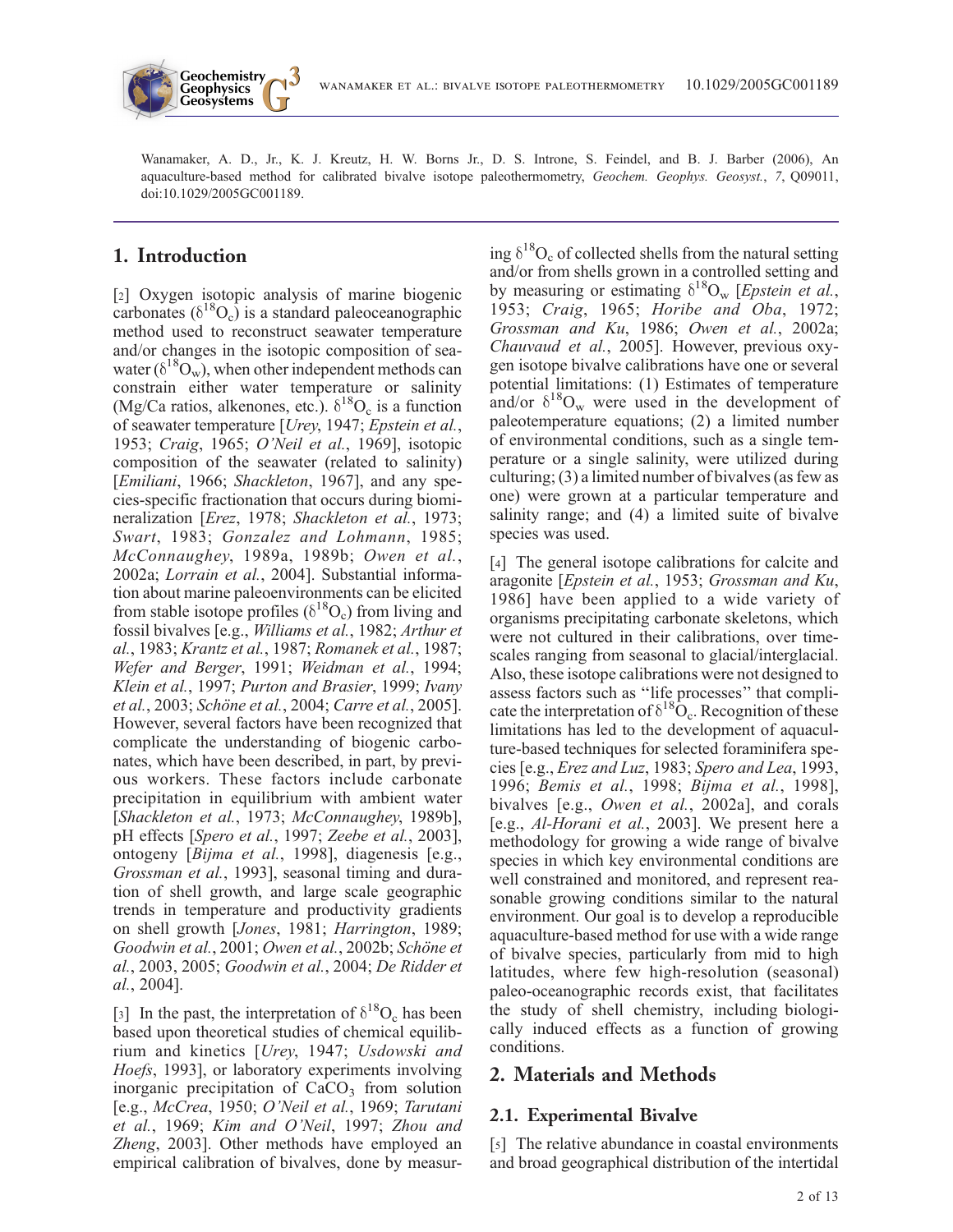

Wanamaker, A. D., Jr., K. J. Kreutz, H. W. Borns Jr., D. S. Introne, S. Feindel, and B. J. Barber (2006), An aquaculture-based method for calibrated bivalve isotope paleothermometry, Geochem. Geophys. Geosyst., 7, 009011, doi:10.1029/2005GC001189.

# 1. Introduction

[2] Oxygen isotopic analysis of marine biogenic carbonates  $(\delta^{18}O_c)$  is a standard paleoceanographic method used to reconstruct seawater temperature and/or changes in the isotopic composition of seawater ( $\delta^{18}O_{\rm w}$ ), when other independent methods can constrain either water temperature or salinity (Mg/Ca ratios, alkenones, etc.).  $\delta^{18}O_c$  is a function of seawater temperature [Urey, 1947; Epstein et al., 1953; Craig, 1965; O'Neil et al., 1969], isotopic composition of the seawater (related to salinity) [*Emiliani*, 1966; *Shackleton*, 1967], and any species-specific fractionation that occurs during biomineralization [Erez, 1978; Shackleton et al., 1973; Swart, 1983; Gonzalez and Lohmann, 1985; McConnaughey, 1989a, 1989b; Owen et al., 2002a; Lorrain et al., 2004]. Substantial information about marine paleoenvironments can be elicited from stable isotope profiles ( $\delta^{18}O_c$ ) from living and fossil bivalves [e.g., Williams et al., 1982; Arthur et al., 1983; Krantz et al., 1987; Romanek et al., 1987; Wefer and Berger, 1991; Weidman et al., 1994; Klein et al., 1997; Purton and Brasier, 1999; Ivany et al., 2003; Schöne et al., 2004; Carre et al., 2005]. However, several factors have been recognized that complicate the understanding of biogenic carbonates, which have been described, in part, by previous workers. These factors include carbonate precipitation in equilibrium with ambient water [Shackleton et al., 1973; McConnaughey, 1989b], pH effects [Spero et al., 1997; Zeebe et al., 2003], ontogeny [Bijma et al., 1998], diagenesis [e.g., Grossman et al., 1993], seasonal timing and duration of shell growth, and large scale geographic trends in temperature and productivity gradients on shell growth [Jones, 1981; Harrington, 1989; Goodwin et al., 2001; Owen et al., 2002b; Schöne et al., 2003, 2005; Goodwin et al., 2004; De Ridder et al., 2004].

[3] In the past, the interpretation of  $\delta^{18}O_c$  has been based upon theoretical studies of chemical equilibrium and kinetics [Urey, 1947; Usdowski and Hoefs, 1993], or laboratory experiments involving inorganic precipitation of  $CaCO<sub>3</sub>$  from solution [e.g., McCrea, 1950; O'Neil et al., 1969; Tarutani et al., 1969; Kim and O'Neil, 1997; Zhou and Zheng, 2003]. Other methods have employed an empirical calibration of bivalves, done by measur-

ing  $\delta^{18}O_c$  of collected shells from the natural setting and/or from shells grown in a controlled setting and by measuring or estimating  $\delta^{18}O_w$  [*Epstein et al.*, 1953; Craig, 1965; Horibe and Oba, 1972; Grossman and Ku, 1986; Owen et al., 2002a; Chauvaud et al., 2005]. However, previous oxygen isotope bivalve calibrations have one or several potential limitations: (1) Estimates of temperature and/or  $\delta^{18}O_w$  were used in the development of paleotemperature equations; (2) a limited number of environmental conditions, such as a single temperature or a single salinity, were utilized during culturing; (3) a limited number of bivalves (as few as one) were grown at a particular temperature and salinity range; and (4) a limited suite of bivalve species was used.

[4] The general isotope calibrations for calcite and aragonite [Epstein et al., 1953; Grossman and Ku, 1986] have been applied to a wide variety of organisms precipitating carbonate skeletons, which were not cultured in their calibrations, over timescales ranging from seasonal to glacial/interglacial. Also, these isotope calibrations were not designed to assess factors such as ''life processes'' that complicate the interpretation of  $\delta^{18}O_c$ . Recognition of these limitations has led to the development of aquaculture-based techniques for selected foraminifera species [e.g., Erez and Luz, 1983; Spero and Lea, 1993, 1996; Bemis et al., 1998; Bijma et al., 1998], bivalves [e.g., Owen et al., 2002a], and corals [e.g., Al-Horani et al., 2003]. We present here a methodology for growing a wide range of bivalve species in which key environmental conditions are well constrained and monitored, and represent reasonable growing conditions similar to the natural environment. Our goal is to develop a reproducible aquaculture-based method for use with a wide range of bivalve species, particularly from mid to high latitudes, where few high-resolution (seasonal) paleo-oceanographic records exist, that facilitates the study of shell chemistry, including biologically induced effects as a function of growing conditions.

# 2. Materials and Methods

# 2.1. Experimental Bivalve

[5] The relative abundance in coastal environments and broad geographical distribution of the intertidal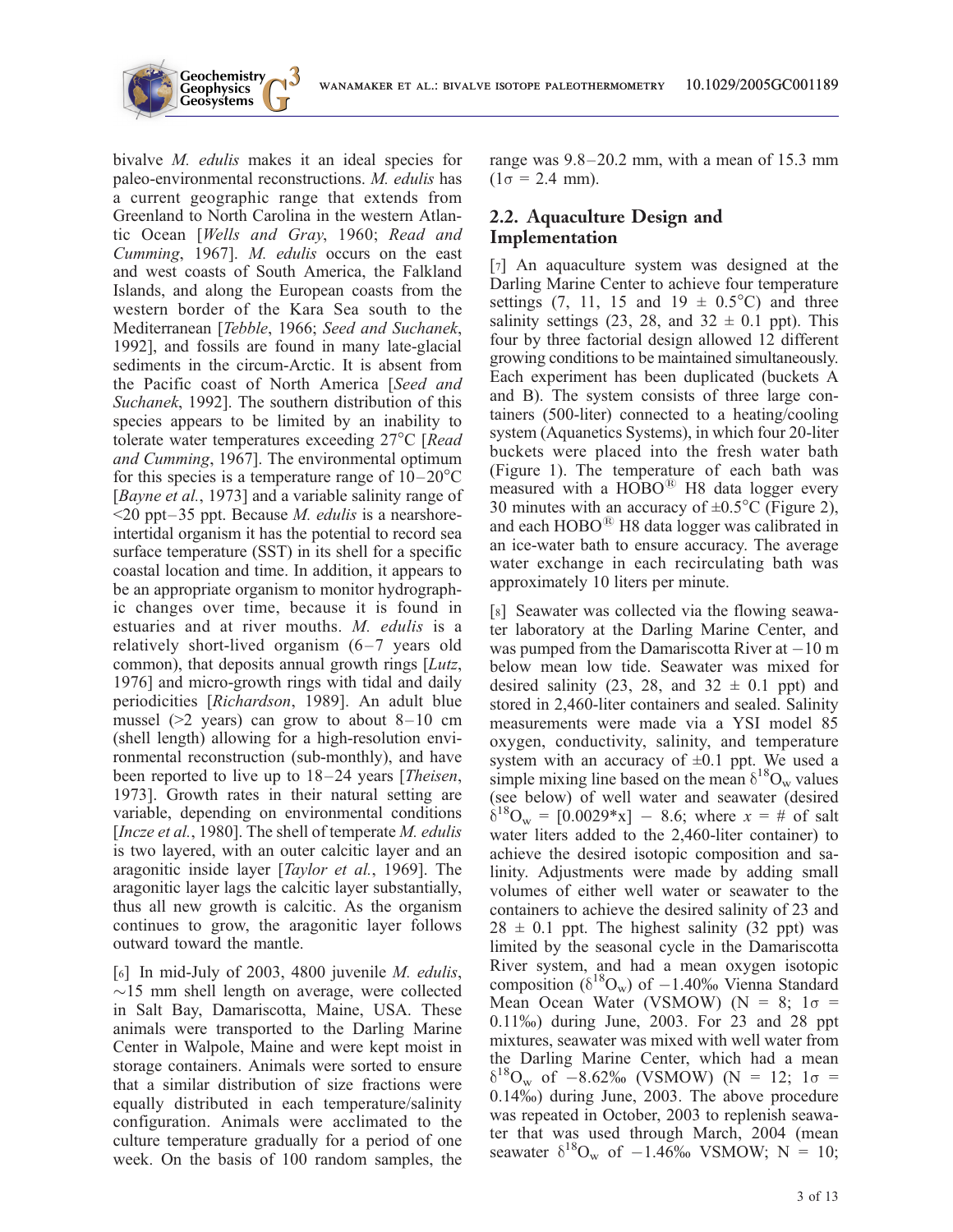

bivalve *M. edulis* makes it an ideal species for paleo-environmental reconstructions. M. edulis has a current geographic range that extends from Greenland to North Carolina in the western Atlantic Ocean [Wells and Gray, 1960; Read and Cumming, 1967]. M. edulis occurs on the east and west coasts of South America, the Falkland Islands, and along the European coasts from the western border of the Kara Sea south to the Mediterranean [Tebble, 1966; Seed and Suchanek, 1992], and fossils are found in many late-glacial sediments in the circum-Arctic. It is absent from the Pacific coast of North America [Seed and Suchanek, 1992]. The southern distribution of this species appears to be limited by an inability to tolerate water temperatures exceeding  $27^{\circ}$ C [Read and Cumming, 1967]. The environmental optimum for this species is a temperature range of  $10-20^{\circ}$ C [Bayne et al., 1973] and a variable salinity range of  $\leq$ 20 ppt–35 ppt. Because *M. edulis* is a nearshoreintertidal organism it has the potential to record sea surface temperature (SST) in its shell for a specific coastal location and time. In addition, it appears to be an appropriate organism to monitor hydrographic changes over time, because it is found in estuaries and at river mouths. M. edulis is a relatively short-lived organism  $(6-7)$  years old common), that deposits annual growth rings [Lutz, 1976] and micro-growth rings with tidal and daily periodicities [Richardson, 1989]. An adult blue mussel ( $>2$  years) can grow to about  $8-10$  cm (shell length) allowing for a high-resolution environmental reconstruction (sub-monthly), and have been reported to live up to  $18-24$  years [*Theisen*, 1973]. Growth rates in their natural setting are variable, depending on environmental conditions [Incze et al., 1980]. The shell of temperate *M. edulis* is two layered, with an outer calcitic layer and an aragonitic inside layer [Taylor et al., 1969]. The aragonitic layer lags the calcitic layer substantially, thus all new growth is calcitic. As the organism continues to grow, the aragonitic layer follows outward toward the mantle.

**Geochemistry Geophysics**

[6] In mid-July of 2003, 4800 juvenile M. edulis,  $\sim$ 15 mm shell length on average, were collected in Salt Bay, Damariscotta, Maine, USA. These animals were transported to the Darling Marine Center in Walpole, Maine and were kept moist in storage containers. Animals were sorted to ensure that a similar distribution of size fractions were equally distributed in each temperature/salinity configuration. Animals were acclimated to the culture temperature gradually for a period of one week. On the basis of 100 random samples, the range was 9.8–20.2 mm, with a mean of 15.3 mm  $(1\sigma = 2.4$  mm).

## 2.2. Aquaculture Design and Implementation

[7] An aquaculture system was designed at the Darling Marine Center to achieve four temperature settings (7, 11, 15 and  $19 \pm 0.5^{\circ}$ C) and three salinity settings (23, 28, and  $32 \pm 0.1$  ppt). This four by three factorial design allowed 12 different growing conditions to be maintained simultaneously. Each experiment has been duplicated (buckets A and B). The system consists of three large containers (500-liter) connected to a heating/cooling system (Aquanetics Systems), in which four 20-liter buckets were placed into the fresh water bath (Figure 1). The temperature of each bath was measured with a  $HOBO<sup>®</sup>$  H8 data logger every 30 minutes with an accuracy of  $\pm 0.5^{\circ}$ C (Figure 2), and each  $HOBO<sup>®</sup>$  H8 data logger was calibrated in an ice-water bath to ensure accuracy. The average water exchange in each recirculating bath was approximately 10 liters per minute.

[8] Seawater was collected via the flowing seawater laboratory at the Darling Marine Center, and was pumped from the Damariscotta River at  $-10$  m below mean low tide. Seawater was mixed for desired salinity (23, 28, and  $32 \pm 0.1$  ppt) and stored in 2,460-liter containers and sealed. Salinity measurements were made via a YSI model 85 oxygen, conductivity, salinity, and temperature system with an accuracy of  $\pm 0.1$  ppt. We used a simple mixing line based on the mean  $\delta^{18}O_w$  values (see below) of well water and seawater (desired  $\delta^{18}O_w = [0.0029*x] - 8.6$ ; where  $x = #$  of salt water liters added to the 2,460-liter container) to achieve the desired isotopic composition and salinity. Adjustments were made by adding small volumes of either well water or seawater to the containers to achieve the desired salinity of 23 and  $28 \pm 0.1$  ppt. The highest salinity (32 ppt) was limited by the seasonal cycle in the Damariscotta River system, and had a mean oxygen isotopic composition ( $\delta^{18}O_w$ ) of  $-1.40\%$  Vienna Standard Mean Ocean Water (VSMOW) (N = 8;  $1\sigma$  = 0.11%) during June, 2003. For 23 and 28 ppt mixtures, seawater was mixed with well water from the Darling Marine Center, which had a mean  $\delta^{18}O_w$  of -8.62% (VSMOW) (N = 12; 1 $\sigma$  = 0.14%) during June, 2003. The above procedure was repeated in October, 2003 to replenish seawater that was used through March, 2004 (mean seawater  $\delta^{18}O_w$  of  $-1.46\%$  VSMOW; N = 10;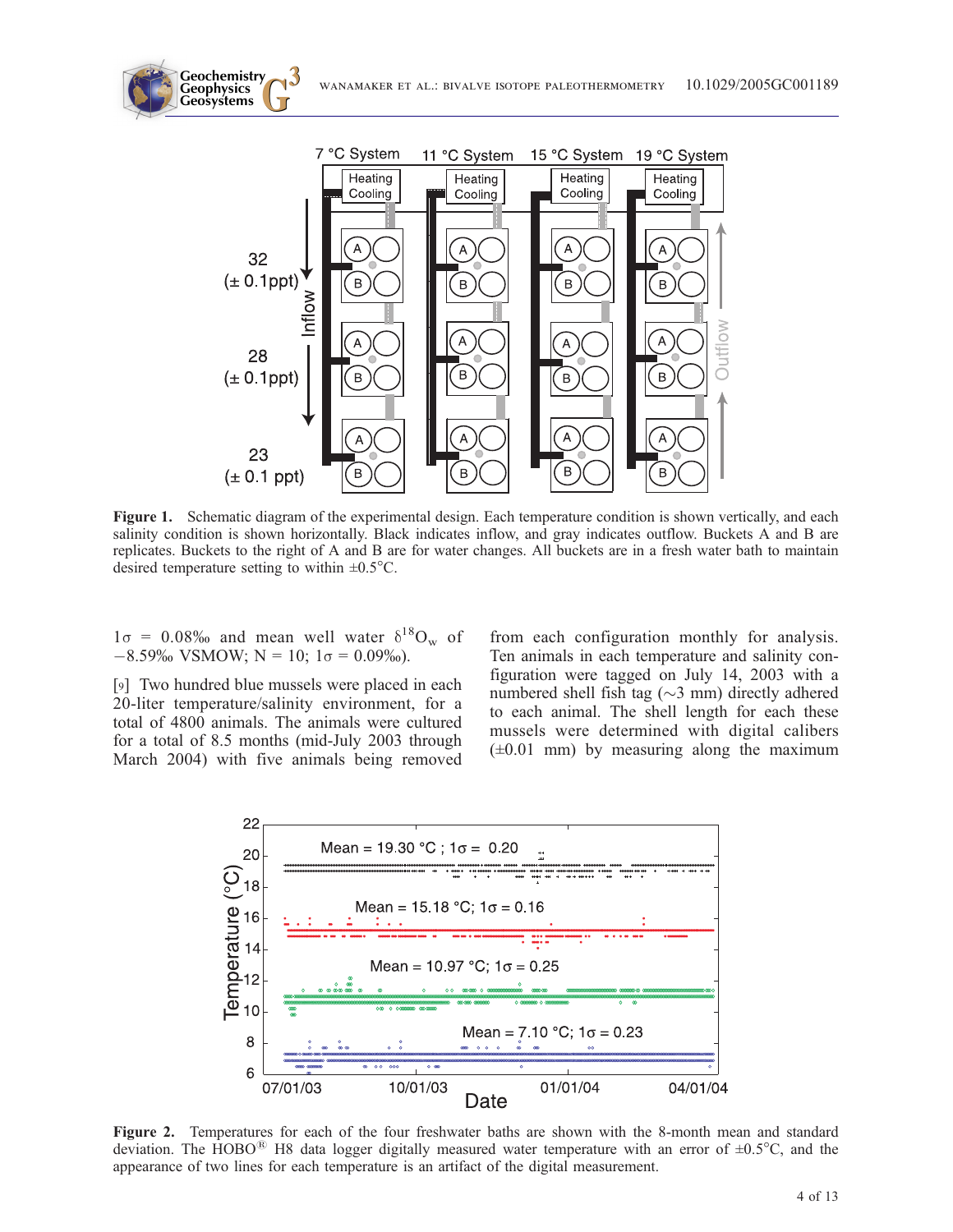



Figure 1. Schematic diagram of the experimental design. Each temperature condition is shown vertically, and each salinity condition is shown horizontally. Black indicates inflow, and gray indicates outflow. Buckets A and B are replicates. Buckets to the right of A and B are for water changes. All buckets are in a fresh water bath to maintain desired temperature setting to within  $\pm 0.5^{\circ}$ C.

 $1\sigma = 0.08\%$  and mean well water  $\delta^{18}O_w$  of  $-8.59\%$  VSMOW; N = 10; 1 $\sigma$  = 0.09%).

**Geochemistry Geophysics**

[9] Two hundred blue mussels were placed in each 20-liter temperature/salinity environment, for a total of 4800 animals. The animals were cultured for a total of 8.5 months (mid-July 2003 through March 2004) with five animals being removed from each configuration monthly for analysis. Ten animals in each temperature and salinity configuration were tagged on July 14, 2003 with a numbered shell fish tag ( $\sim$ 3 mm) directly adhered to each animal. The shell length for each these mussels were determined with digital calibers  $(\pm 0.01$  mm) by measuring along the maximum



Figure 2. Temperatures for each of the four freshwater baths are shown with the 8-month mean and standard deviation. The  $HOBO<sup>®</sup>$  H8 data logger digitally measured water temperature with an error of  $\pm 0.5^{\circ}$ C, and the appearance of two lines for each temperature is an artifact of the digital measurement.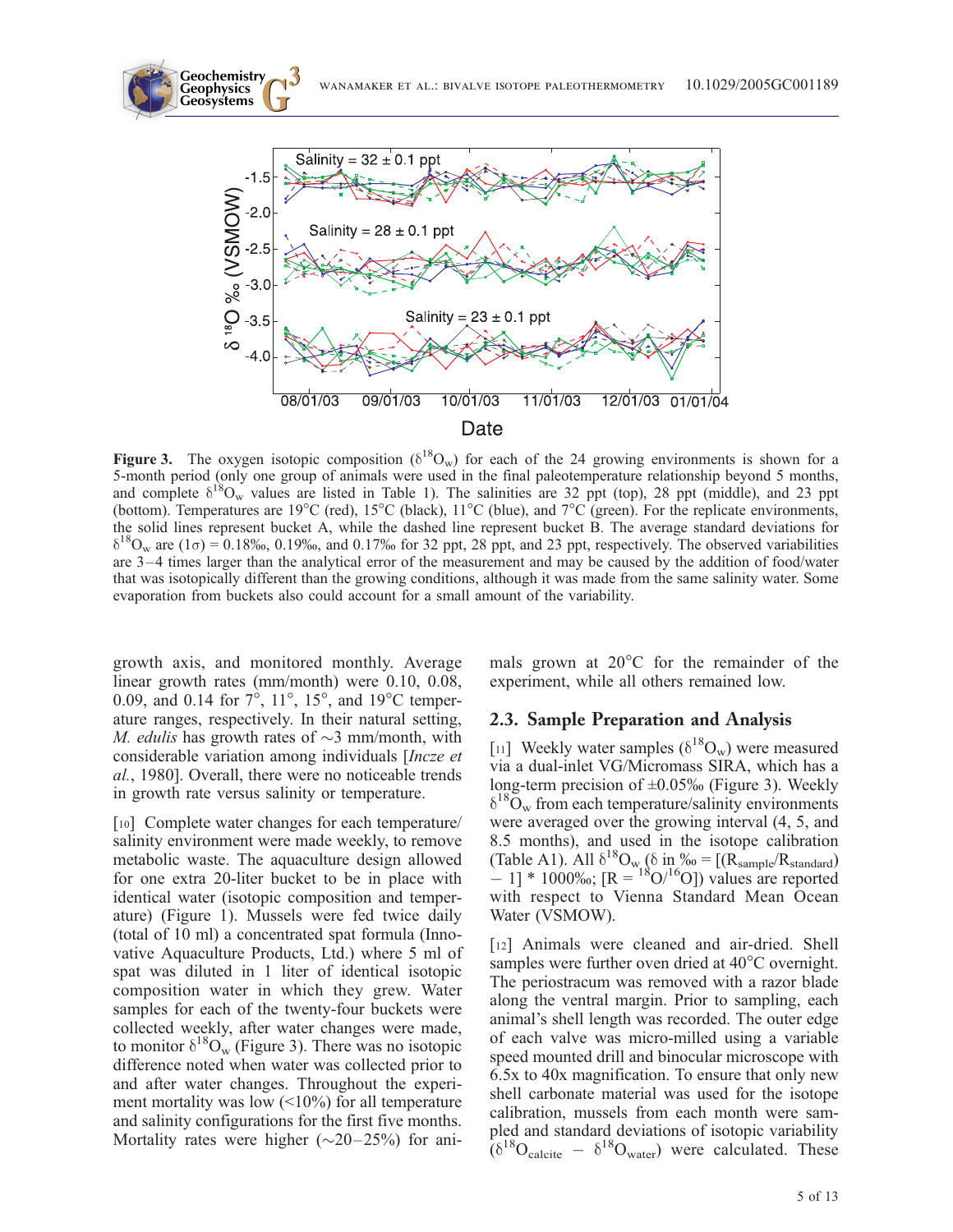

Date

Figure 3. The oxygen isotopic composition ( $\delta^{18}O_w$ ) for each of the 24 growing environments is shown for a 5-month period (only one group of animals were used in the final paleotemperature relationship beyond 5 months, and complete  $\delta^{18}O_w$  values are listed in Table 1). The salinities are 32 ppt (top), 28 ppt (middle), and 23 ppt (bottom). Temperatures are  $19^{\circ}$ C (red),  $15^{\circ}$ C (black),  $11^{\circ}$ C (blue), and  $7^{\circ}$ C (green). For the replicate environments, the solid lines represent bucket A, while the dashed line represent bucket B. The average standard deviations for  $\delta^{18}O_w$  are (1 $\sigma$ ) = 0.18‰, 0.19‰, and 0.17‰ for 32 ppt, 28 ppt, and 23 ppt, respectively. The observed variabilities are 3 – 4 times larger than the analytical error of the measurement and may be caused by the addition of food/water that was isotopically different than the growing conditions, although it was made from the same salinity water. Some evaporation from buckets also could account for a small amount of the variability.

growth axis, and monitored monthly. Average linear growth rates (mm/month) were 0.10, 0.08, 0.09, and 0.14 for  $7^{\circ}$ ,  $11^{\circ}$ ,  $15^{\circ}$ , and  $19^{\circ}$ C temperature ranges, respectively. In their natural setting, *M. edulis* has growth rates of  $\sim$ 3 mm/month, with considerable variation among individuals [Incze et al., 1980]. Overall, there were no noticeable trends in growth rate versus salinity or temperature.

[10] Complete water changes for each temperature/ salinity environment were made weekly, to remove metabolic waste. The aquaculture design allowed for one extra 20-liter bucket to be in place with identical water (isotopic composition and temperature) (Figure 1). Mussels were fed twice daily (total of 10 ml) a concentrated spat formula (Innovative Aquaculture Products, Ltd.) where 5 ml of spat was diluted in 1 liter of identical isotopic composition water in which they grew. Water samples for each of the twenty-four buckets were collected weekly, after water changes were made, to monitor  $\delta^{18}O_w$  (Figure 3). There was no isotopic difference noted when water was collected prior to and after water changes. Throughout the experiment mortality was low  $($ <10%) for all temperature and salinity configurations for the first five months. Mortality rates were higher  $(\sim 20-25%)$  for ani-

mals grown at  $20^{\circ}$ C for the remainder of the experiment, while all others remained low.

#### 2.3. Sample Preparation and Analysis

[11] Weekly water samples  $(\delta^{18}O_w)$  were measured via a dual-inlet VG/Micromass SIRA, which has a long-term precision of  $\pm 0.05\%$  (Figure 3). Weekly  $\delta^{18}O_w$  from each temperature/salinity environments were averaged over the growing interval (4, 5, and 8.5 months), and used in the isotope calibration (Table A1). All  $\delta^{18}O_{w}$  ( $\delta$  in  $\%$  = [( $R_{sample}/R_{standard}$ )  $-1$ ] \* 1000‰; [R =  $18$ O/<sup>16</sup>O]) values are reported with respect to Vienna Standard Mean Ocean Water (VSMOW).

[12] Animals were cleaned and air-dried. Shell samples were further oven dried at  $40^{\circ}$ C overnight. The periostracum was removed with a razor blade along the ventral margin. Prior to sampling, each animal's shell length was recorded. The outer edge of each valve was micro-milled using a variable speed mounted drill and binocular microscope with 6.5x to 40x magnification. To ensure that only new shell carbonate material was used for the isotope calibration, mussels from each month were sampled and standard deviations of isotopic variability  $(6^{18}O_{\text{calcite}} - \delta^{18}O_{\text{water}})$  were calculated. These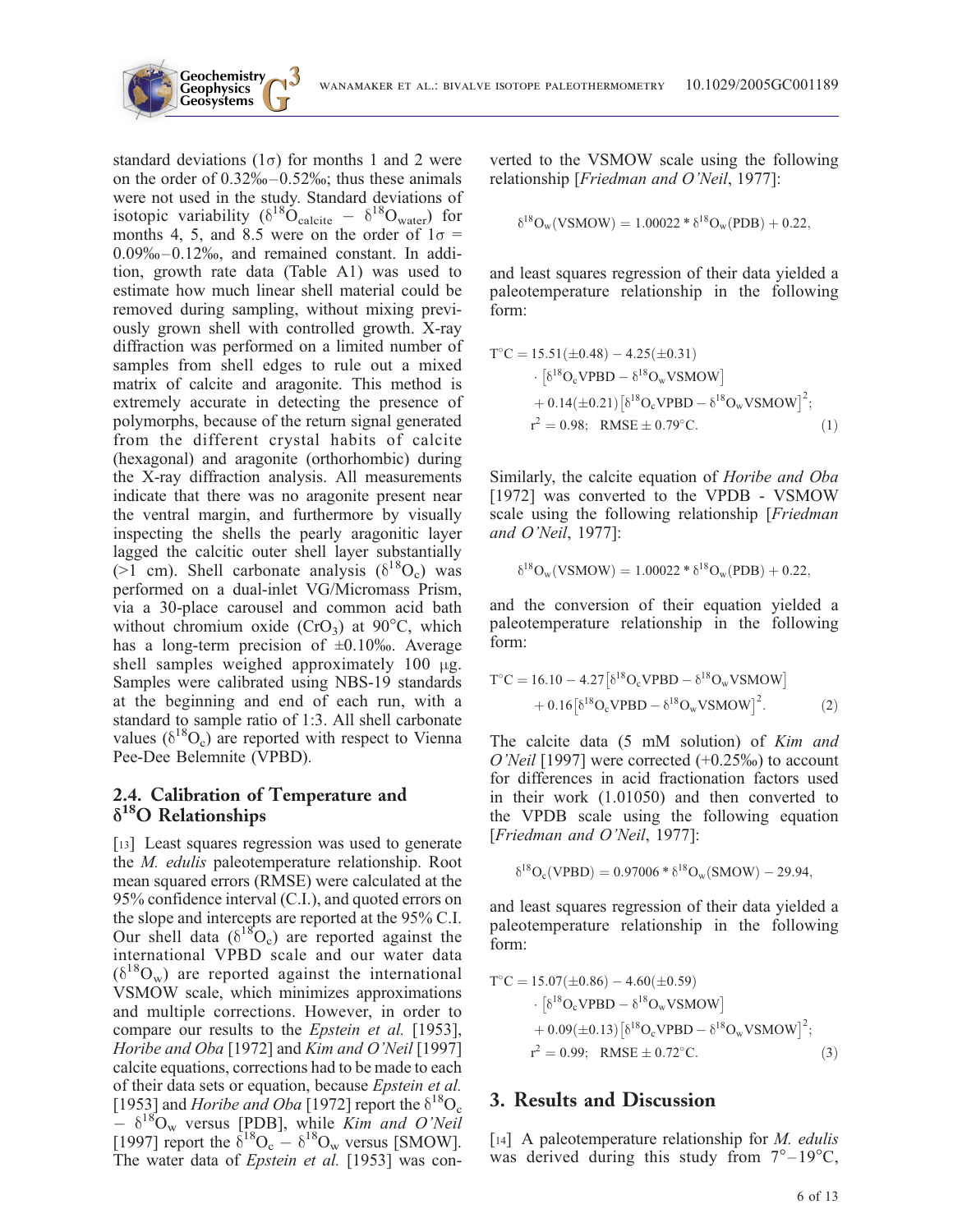

standard deviations  $(1\sigma)$  for months 1 and 2 were on the order of  $0.32\% - 0.52\%$ ; thus these animals were not used in the study. Standard deviations of isotopic variability ( $\delta^{18} \dot{\text{O}}_{\text{calcite}} - \delta^{18} \text{O}_{\text{water}}$ ) for months 4, 5, and 8.5 were on the order of  $1\sigma$  = 0.09%–0.12%, and remained constant. In addition, growth rate data (Table A1) was used to estimate how much linear shell material could be removed during sampling, without mixing previously grown shell with controlled growth. X-ray diffraction was performed on a limited number of samples from shell edges to rule out a mixed matrix of calcite and aragonite. This method is extremely accurate in detecting the presence of polymorphs, because of the return signal generated from the different crystal habits of calcite (hexagonal) and aragonite (orthorhombic) during the X-ray diffraction analysis. All measurements indicate that there was no aragonite present near the ventral margin, and furthermore by visually inspecting the shells the pearly aragonitic layer lagged the calcitic outer shell layer substantially ( $>1$  cm). Shell carbonate analysis ( $\delta^{18}O_c$ ) was performed on a dual-inlet VG/Micromass Prism, via a 30-place carousel and common acid bath without chromium oxide  $(CrO<sub>3</sub>)$  at  $90^{\circ}C$ , which has a long-term precision of  $\pm 0.10\%$ . Average shell samples weighed approximately 100 µg. Samples were calibrated using NBS-19 standards at the beginning and end of each run, with a standard to sample ratio of 1:3. All shell carbonate values  $(\delta^{18}O_c)$  are reported with respect to Vienna Pee-Dee Belemnite (VPBD).

**Geochemistry Geophysics**

#### 2.4. Calibration of Temperature and  $\delta^{18}$ O Relationships

[13] Least squares regression was used to generate the M. edulis paleotemperature relationship. Root mean squared errors (RMSE) were calculated at the 95% confidence interval (C.I.), and quoted errors on the slope and intercepts are reported at the 95% C.I. Our shell data  $(\delta^{18}O_c)$  are reported against the international VPBD scale and our water data  $(\delta^{18}O_w)$  are reported against the international VSMOW scale, which minimizes approximations and multiple corrections. However, in order to compare our results to the Epstein et al. [1953], Horibe and Oba [1972] and Kim and O'Neil [1997] calcite equations, corrections had to be made to each of their data sets or equation, because Epstein et al. [1953] and *Horibe and Oba* [1972] report the  $\delta^{18}O_c$  $- \delta^{18}O_w$  versus [PDB], while Kim and O'Neil [1997] report the  $\delta^{18}O_c - \delta^{18}O_w$  versus [SMOW]. The water data of *Epstein et al.* [1953] was converted to the VSMOW scale using the following relationship [Friedman and O'Neil, 1977]:

$$
\delta^{18}O_w(VSMOW)=1.00022*\delta^{18}O_w(PDB)+0.22,
$$

and least squares regression of their data yielded a paleotemperature relationship in the following form:

$$
T°C = 15.51(\pm 0.48) - 4.25(\pm 0.31)
$$
  
\n
$$
\cdot [\delta18OeVPBD - \delta18OwVSMOW]
$$
  
\n+ 0.14(\pm 0.21) [\delta<sup>18</sup>O<sub>e</sub>VPBD - \delta<sup>18</sup>O<sub>w</sub>VSMOW]<sup>2</sup>;  
\nr<sup>2</sup> = 0.98; RMSE ± 0.79°C. (1)

Similarly, the calcite equation of Horibe and Oba [1972] was converted to the VPDB - VSMOW scale using the following relationship [Friedman] and O'Neil, 1977]:

$$
\delta^{18}O_w(VSMOW) = 1.00022 * \delta^{18}O_w(PDB) + 0.22,
$$

and the conversion of their equation yielded a paleotemperature relationship in the following form:

$$
T^{\circ}C = 16.10 - 4.27[\delta^{18}O_{c}VPBD - \delta^{18}O_{w}VSMOW] + 0.16[\delta^{18}O_{c}VPBD - \delta^{18}O_{w}VSMOW]^{2}.
$$
 (2)

The calcite data (5 mM solution) of *Kim and* O'Neil [1997] were corrected  $(+0.25\%)$  to account for differences in acid fractionation factors used in their work (1.01050) and then converted to the VPDB scale using the following equation [Friedman and O'Neil, 1977]:

$$
\delta^{18}O_c(VPBD) = 0.97006 * \delta^{18}O_w(SMOW) - 29.94,
$$

and least squares regression of their data yielded a paleotemperature relationship in the following form:

$$
ToC = 15.07(±0.86) – 4.60(±0.59)
$$
  
\n
$$
\cdot [\delta18OcVPBD – δ18OwVSMOW]\n+ 0.09(±0.13) [δ18OcVPBD – δ18OwVSMOW]2;\nr2 = 0.99; RMSE ± 0.72oC.
$$
 (3)

#### 3. Results and Discussion

[14] A paleotemperature relationship for *M. edulis* was derived during this study from  $7^{\circ}-19^{\circ}$ C,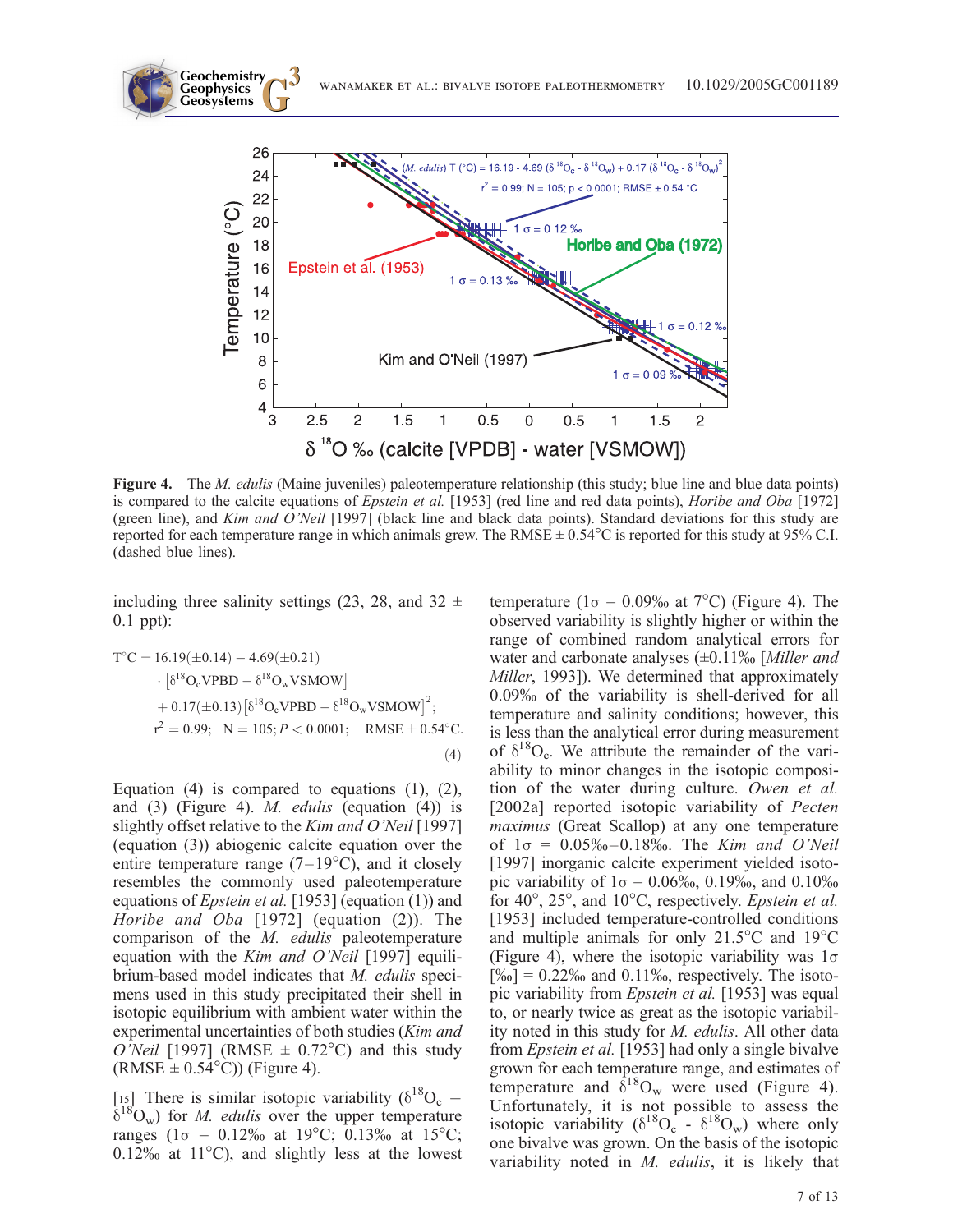

Figure 4. The *M. edulis* (Maine juveniles) paleotemperature relationship (this study; blue line and blue data points) is compared to the calcite equations of Epstein et al. [1953] (red line and red data points), Horibe and Oba [1972] (green line), and Kim and O'Neil [1997] (black line and black data points). Standard deviations for this study are reported for each temperature range in which animals grew. The RMSE  $\pm$  0.54 $^{\circ}$ C is reported for this study at 95% C.I. (dashed blue lines).

including three salinity settings (23, 28, and 32  $\pm$ 0.1 ppt):

$$
T^{\circ}C = 16.19(\pm 0.14) - 4.69(\pm 0.21)
$$
  
\n
$$
\cdot \left[ \delta^{18}O_{c}V P B D - \delta^{18}O_{w}V S M O W \right]
$$
  
\n
$$
+ 0.17(\pm 0.13) \left[ \delta^{18}O_{c}V P B D - \delta^{18}O_{w}V S M O W \right]^{2};
$$
  
\n
$$
r^{2} = 0.99; \quad N = 105; P < 0.0001; \quad RMSE \pm 0.54^{\circ}C.
$$
  
\n(4)

Equation  $(4)$  is compared to equations  $(1)$ ,  $(2)$ , and  $(3)$  (Figure 4). *M. edulis* (equation  $(4)$ ) is slightly offset relative to the *Kim and O'Neil* [1997] (equation (3)) abiogenic calcite equation over the entire temperature range  $(7-19^{\circ}C)$ , and it closely resembles the commonly used paleotemperature equations of Epstein et al. [1953] (equation (1)) and Horibe and Oba [1972] (equation (2)). The comparison of the M. edulis paleotemperature equation with the *Kim and O'Neil* [1997] equilibrium-based model indicates that M. edulis specimens used in this study precipitated their shell in isotopic equilibrium with ambient water within the experimental uncertainties of both studies (Kim and O'Neil [1997] (RMSE  $\pm$  0.72°C) and this study  $(RMSE \pm 0.54^{\circ}C)$  (Figure 4).

[15] There is similar isotopic variability ( $\delta^{18}O_c$  –  $\delta^{18}O_w$ ) for *M. edulis* over the upper temperature ranges ( $1\sigma = 0.12\%$  at  $19^{\circ}$ C; 0.13% at  $15^{\circ}$ C;  $0.12\%$  at  $11^{\circ}$ C), and slightly less at the lowest

temperature ( $1\sigma = 0.09\%$  at  $7^{\circ}$ C) (Figure 4). The observed variability is slightly higher or within the range of combined random analytical errors for water and carbonate analyses  $(\pm 0.11\%$  [Miller and Miller, 1993]). We determined that approximately 0.09% of the variability is shell-derived for all temperature and salinity conditions; however, this is less than the analytical error during measurement of  $\delta^{18}O_c$ . We attribute the remainder of the variability to minor changes in the isotopic composition of the water during culture. Owen et al. [2002a] reported isotopic variability of *Pecten* maximus (Great Scallop) at any one temperature of  $1\sigma = 0.05\% - 0.18\%$ . The Kim and O'Neil [1997] inorganic calcite experiment yielded isotopic variability of  $1\sigma = 0.06\%$ , 0.19‰, and 0.10‰ for  $40^{\circ}$ ,  $25^{\circ}$ , and  $10^{\circ}$ C, respectively. *Epstein et al.* [1953] included temperature-controlled conditions and multiple animals for only  $21.5^{\circ}$ C and  $19^{\circ}$ C (Figure 4), where the isotopic variability was  $1\sigma$  $[\%0] = 0.22\%$  and 0.11%, respectively. The isotopic variability from *Epstein et al.* [1953] was equal to, or nearly twice as great as the isotopic variability noted in this study for M. edulis. All other data from *Epstein et al.* [1953] had only a single bivalve grown for each temperature range, and estimates of temperature and  $\delta^{18}O_w$  were used (Figure 4). Unfortunately, it is not possible to assess the isotopic variability ( $\delta^{18}O_c$  -  $\delta^{18}O_w$ ) where only one bivalve was grown. On the basis of the isotopic variability noted in M. edulis, it is likely that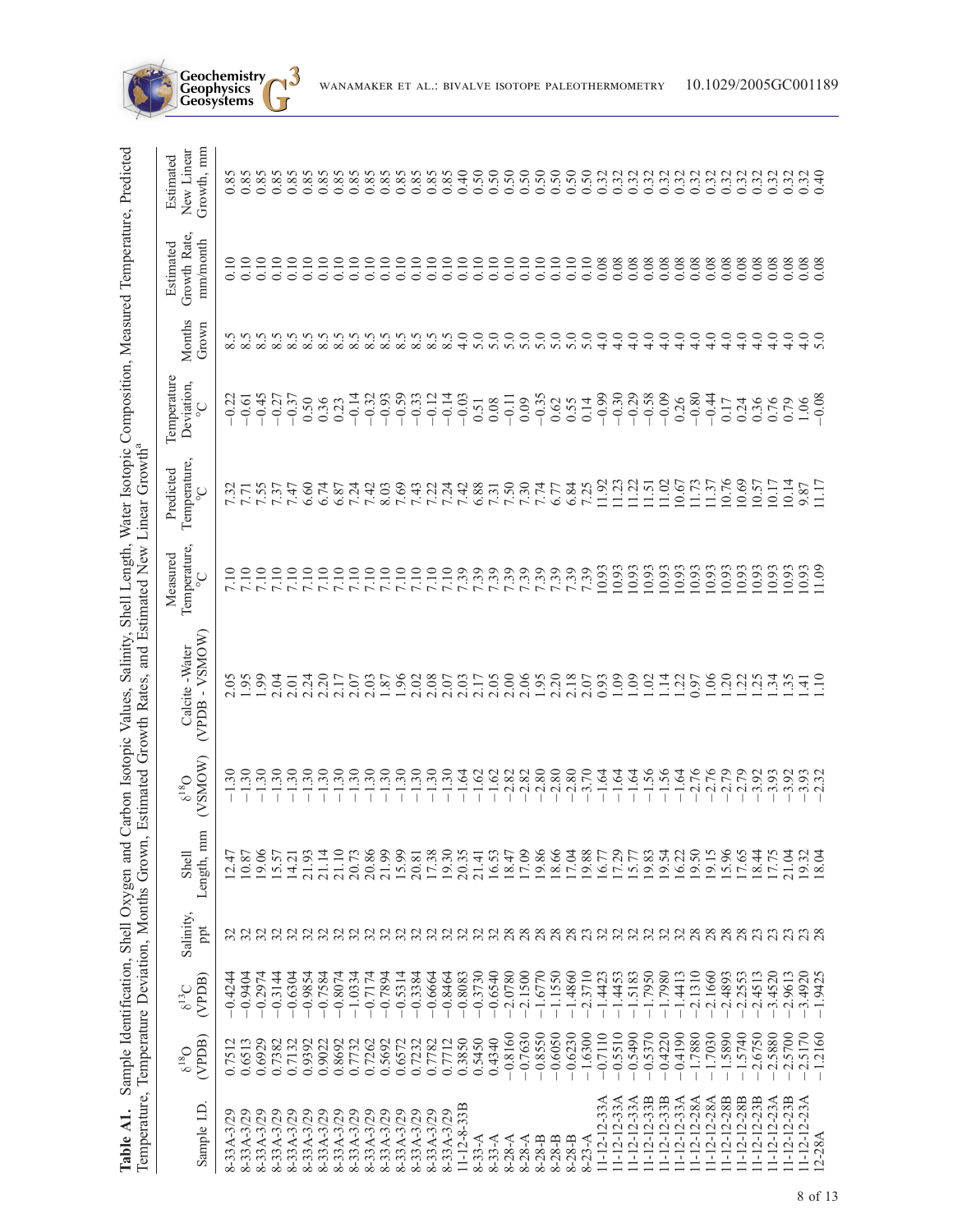| Temperature, Temperature Deviation, Months Grown<br>Table A1. |                                 |                      |                                             | Sample Identification, Shell Oxygen and |                                | Carbon Isotopic Values, Salinity, Shell Length,<br>Estimated Growth Rates, and | <b>Estimated New</b>                                    | Linear Growth <sup>a</sup>                      |                                                       |                        | Water Isotopic Composition, Measured Temperature, Predicted |                                                |
|---------------------------------------------------------------|---------------------------------|----------------------|---------------------------------------------|-----------------------------------------|--------------------------------|--------------------------------------------------------------------------------|---------------------------------------------------------|-------------------------------------------------|-------------------------------------------------------|------------------------|-------------------------------------------------------------|------------------------------------------------|
| Sample I.D                                                    | (VPDB)<br>$O_{81}$ <sup>9</sup> | (VPDB)<br>$6^{13}$ C | Salinity,<br>ppt                            | Length, mm<br>Shell                     | (VSMOW)<br>$\delta^{18}O$      | (VPDB - VSMOW)<br>Calcite -Water                                               | Temperature,<br>Measured<br>$\rm _{\circ}$              | Temperature,<br>Predicted<br>$\mathrm{C}_\circ$ | Temperature<br>Deviation,<br>$\mathop{\circ}_{\circ}$ | Months<br>Grown        | Growth Rate,<br>mm/month<br>Estimated                       | Growth, mm<br>New Linear<br>Estimated          |
| 8-33A-3/29                                                    | 0.7512                          | $-0.4244$            |                                             | 12.47                                   | $\ddot{\cdot}$<br>$\mathbf{I}$ | 2.05                                                                           | 7.10                                                    | 7.32                                            | $-0.22$                                               |                        | 0.10                                                        | 0.85                                           |
| 8-33A-3/29                                                    | 0.6513                          | $-0.9404$            |                                             | 10.87                                   | $\ddot{.}30$<br>$\mathbf{I}$   | 1.95                                                                           | $\overline{0}$                                          | 7.71<br>7.55<br>7.37                            | $-0.61$                                               | $8.5$<br>$8.5$         | 0.10                                                        | 0.85                                           |
| 8-33A-3/29                                                    | 0.6929                          | $-0.2974$            |                                             | 19.06                                   | $\ddot{.}30$<br>T              | 1.99                                                                           |                                                         |                                                 | $-0.45$                                               | 8.5                    | 0.10                                                        | 0.85                                           |
| 8-33A-3/29                                                    | 0.7382                          | $-0.3144$            |                                             | 15.57                                   | $\ddot{.}30$                   | 2.04                                                                           | 7.10                                                    |                                                 | $-0.27$                                               | 8.5                    | 0.10                                                        | 0.85                                           |
| 8-33A-3/29                                                    | 0.7132                          | $-0.6304$            |                                             | 14.21                                   | $\ddot{.}30$                   | 2.01                                                                           |                                                         | 7.47<br>6.60                                    | $-0.37$                                               | v<br>$\infty$          | 0.10                                                        | 0.85                                           |
| 8-33A-3/29                                                    | 0.9392                          | $-0.9854$            |                                             | 21.93                                   | $\ddot{.}30$                   | 2.24                                                                           | 7.10                                                    |                                                 | 0.50                                                  | v<br>$\infty$          | 0.10                                                        | 0.85                                           |
| 8-33A-3/29                                                    | 0.9022                          | $-0.7584$            | CONNONNONNONNO XXXX<br>CONNONNO CONNO CONNO | 21.14                                   | $\ddot{.}30$                   | 2.20                                                                           |                                                         | 6.74                                            | 0.36                                                  | v<br>$\infty$          | 0.10                                                        | 0.85                                           |
| 8-33A-3/29                                                    | 0.8692                          | $-0.8074$            |                                             | 21.10                                   | $\ddot{.}30$                   | 2.17                                                                           |                                                         | 6.87                                            | 0.23                                                  | v<br>$\infty$ $\infty$ | 0.10                                                        |                                                |
| 8-33A-3/29                                                    | 0.7732                          | $-1.0334$            |                                             | 20.73                                   | .30                            | 2.07                                                                           |                                                         | 7.24                                            | $-0.14$                                               | v                      | 0.10                                                        | 0.85                                           |
| 8-33A-3/29                                                    | 0.7262                          | $-0.7174$            |                                             | 20.86<br>21.99                          | $\overline{.30}$               | $2.03$<br>$1.87$<br>$1.96$                                                     |                                                         | 7.42                                            | $-0.32$                                               | v<br>$\infty$          | 0.10                                                        | 0.85                                           |
| 8-33A-3/29                                                    | 0.5692                          | $-0.7894$            |                                             |                                         | $\ddot{.}30$                   |                                                                                |                                                         | 8.03                                            | $-0.93$                                               | ι.<br>$\infty$         | 0.10                                                        |                                                |
| 8-33A-3/29                                                    | 0.6572                          | $-0.5314$            |                                             | 15.99                                   | $\ddot{.}30$                   |                                                                                |                                                         | 7.69                                            | $-0.59$                                               | 8.5                    | 0.10                                                        | 0.85                                           |
| 8-33A-3/29                                                    | 0.7232                          | $-0.3384$            |                                             | 20.81                                   | $\ddot{.}30$                   | 2.02                                                                           |                                                         | 7.43                                            | $-0.33$                                               | v<br>$\infty$          | 0.10                                                        | 0.85                                           |
| 8-33A-3/29                                                    | 0.7782                          | $-0.6664$            |                                             | 17.38                                   | $\ddot{.}30$                   | 2.08                                                                           |                                                         | 7.22                                            | $-0.12$                                               | 8.5                    | 0.10                                                        |                                                |
| 8-33A-3/29                                                    | 0.7712                          | $-0.8464$            |                                             | 19.30                                   | 30                             | 2.07                                                                           |                                                         | 7.24                                            | $-0.14$                                               | 8.5                    | 0.10                                                        | 0.85                                           |
| $11 - 12 - 8 - 33B$                                           | 0.3850                          | $-0.8083$            |                                             | 20.35                                   | 1.64                           | 2.03                                                                           |                                                         | 7.42                                            | $-0.03$                                               | 4.0                    | 0.10                                                        | 0.40                                           |
| $8 - 33 - A$                                                  | 0.5450                          | $-0.3730$            |                                             | 21.41                                   | $-1.62$                        | 2.17                                                                           | 7.39<br>7.39<br>7.39                                    | 6.88                                            | $\begin{array}{c} 0.51 \\ 0.08 \end{array}$           | 5.0                    | 0.10                                                        | 0.50                                           |
| $8 - 33 - A$                                                  | 0.4340                          | $-0.6540$            |                                             | 16.53                                   | $-1.62$                        | $2.05$<br>$2.00$                                                               |                                                         |                                                 |                                                       | 5.0                    | 0.10                                                        | $0.50$<br>$0.50$                               |
| $8 - 28 - A$                                                  | $-0.8160$                       | $-2.0780$            |                                             | 18.47                                   | 2.82                           |                                                                                | $\begin{array}{c} 661 \\ 200 \\ 661 \\ 661 \end{array}$ | $7.\overline{31}$<br>7.50                       | $-0.11$                                               | 5.0                    | 0.10                                                        |                                                |
| $8 - 28 - A$                                                  | $-0.7630$                       | $-2.1500$            |                                             | 17.09                                   | $-2.82$                        | 2.06                                                                           |                                                         |                                                 | 0.09                                                  | $\frac{0}{5.0}$        | 0.10                                                        |                                                |
| $8 - 28 - B$                                                  | $-0.8550$                       | $-1.6770$            |                                             | 19.86                                   | $-2.80$                        | 1.95                                                                           |                                                         | $7.74$<br>6.77                                  | $-0.35$                                               |                        | 0.10                                                        |                                                |
| $8 - 28 - B$                                                  | $-0.6050$                       | $-1.1550$            |                                             | 18.66                                   | $-2.80$                        |                                                                                |                                                         |                                                 | 0.62                                                  | 5.0                    | 0.10                                                        | $0.50$<br>$0.50$<br>$0.50$<br>$0.50$<br>$0.32$ |
| $8 - 28 - B$                                                  | $-0.6230$                       | $-1.4860$            |                                             | 17.04                                   | $-2.80$                        | 2.18                                                                           | 7.39                                                    | 6.84                                            | 0.55                                                  | 5.0                    | 0.10                                                        |                                                |
| $8 - 23 - A$                                                  | $-1.6300$                       | $-2.3710$            |                                             | 19.88                                   | 3.70                           |                                                                                |                                                         | 7.25                                            | 0.14                                                  | 5.0                    | 0.10                                                        |                                                |
| $11 - 12 - 12 - 33A$                                          | $-0.7110$                       | $-1.4423$            |                                             | 16.77                                   | $-1.64$                        | 0.93                                                                           | 10.93                                                   | 11.92                                           | $-0.99$                                               | 4.0                    | 0.08                                                        |                                                |
| $11 - 12 - 12 - 33A$                                          | $-0.5510$                       | $-1.4453$            |                                             | 17.29                                   | $-1.64$                        | 1.09                                                                           | 10.93                                                   | 11.23                                           | $-0.30$                                               | 4.0                    | 0.08                                                        | 0.32                                           |
| $11 - 12 - 12 - 33A$                                          | $-0.5490$                       | $-1.5183$            |                                             | 15.77                                   | $-1.64$                        | 1.09                                                                           | 10.93                                                   | 11.22                                           | $-0.29$                                               | 4.0                    | 0.08                                                        |                                                |
| $11 - 12 - 12 - 33B$                                          | $-0.5370$                       | $-1.7950$            |                                             | 19.83                                   | $-1.56$                        | $\overline{0}$                                                                 | 10.93                                                   | 11.51                                           | $-0.58$                                               | 4.0                    | 0.08                                                        | 0.32                                           |
| 11-12-12-33B                                                  | $-0.4220$                       | $-1.7980$            |                                             | 19.54                                   | $-1.56$                        | $1.14$<br>$1.22$                                                               | 10.93                                                   | 11.02                                           | $-0.09$                                               | 4.0                    | 0.08                                                        | 0.32                                           |
| $11 - 12 - 12 - 33A$                                          | $-0.4190$                       | $-1.4413$            |                                             | 16.22                                   | $-1.64$                        |                                                                                | 10.93                                                   | 10.67                                           | 0.26                                                  | 4.0                    | 0.08                                                        |                                                |
| $11 - 12 - 12 - 28A$                                          | $-1.7880$                       | $-2.1310$            |                                             | 19.50                                   |                                | 0.97                                                                           | 10.93                                                   | 11.73                                           | $-0.80$                                               | 4.0                    | 0.08                                                        | 0.32                                           |
| $11 - 12 - 12 - 28A$                                          | $-1.7030$                       | 2.1660               |                                             | 19.15                                   | $-2.76$<br>$-2.76$<br>$-2.79$  | 1.06                                                                           | 0.93                                                    | 11.37                                           | $-0.44$                                               | 4.0                    | 0.08                                                        |                                                |
| 11-12-12-28B                                                  | $-1.5890$                       | $-2.4893$            |                                             | 15.96                                   |                                | 1.20                                                                           | 10.93                                                   | 10.76                                           | 0.17                                                  | 4.0                    | 0.08                                                        | 0.32                                           |
| 11-12-12-28B                                                  | $-1.5740$                       | $-2.2553$            | 28                                          | 17.65                                   | $-2.79$<br>$-3.92$             | $\frac{22}{125}$                                                               | 10.93                                                   | 10.69                                           | 0.24                                                  | 4.0                    | 0.08                                                        | 0.32                                           |
| 11-12-12-23B                                                  | $-2.6750$                       | $-2.4513$            |                                             | 18.44                                   |                                |                                                                                | 0.93                                                    | 10.57                                           | 0.36                                                  | 4.0                    | 0.08                                                        |                                                |
| 11-12-12-23A                                                  | $-2.5880$                       | $-3.4520$            | 23                                          | 17.75                                   | $-3.93$<br>$-3.92$             | $\frac{34}{135}$                                                               | 10.93                                                   | 10.17                                           | 0.76                                                  | 4.0                    | 0.08                                                        | 0.32                                           |
| $11 - 12 - 12 - 23B$                                          | $-2.5700$                       | $-2.9613$            |                                             | 21.04                                   |                                |                                                                                | 10.93                                                   | 10.14                                           | 0.79                                                  | 4.0                    | 0.08                                                        | 0.32                                           |
| $11 - 12 - 12 - 23A$                                          | $-2.5170$                       | $-3.4920$            | 23                                          | 19.32                                   | $-3.93$<br>$-2.32$             | $\dot{=}$                                                                      | 10.93                                                   | 9.87                                            | 1.06                                                  | 4.0                    | 0.08                                                        | $0.32$<br>0.40                                 |
| 12-28A                                                        | $-1.2160$                       | $-1.9425$            |                                             | 18.04                                   |                                | $\Xi$                                                                          | 11.09                                                   | 11.17                                           | $-0.08$                                               |                        | 0.08                                                        |                                                |

**Geochemistry Geophysics**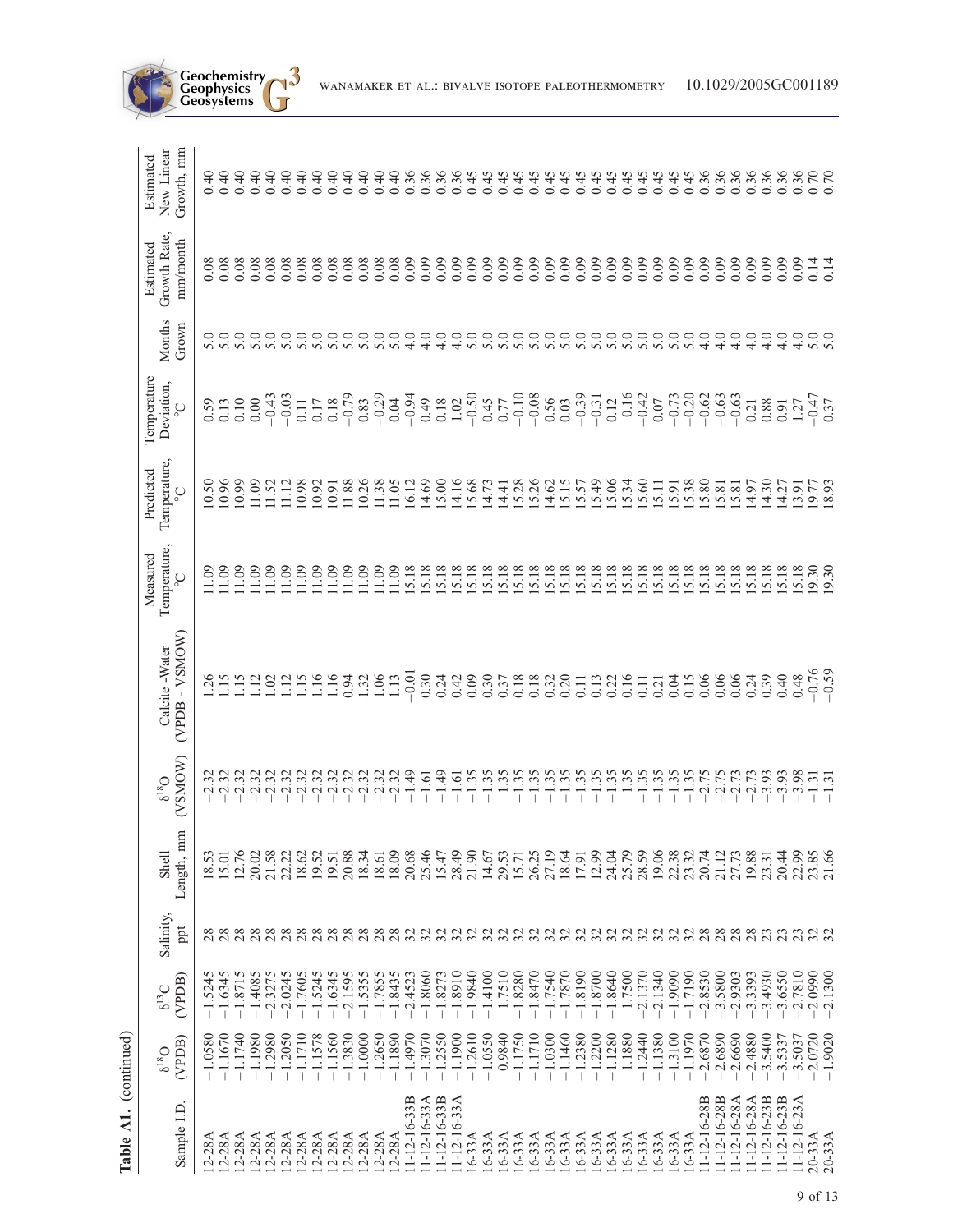| Table A1. (continued) |                               |                        |                                                                             |                     |                                |                                   |                                                   |                                                 |                                                    |                   |                                       |                                       |
|-----------------------|-------------------------------|------------------------|-----------------------------------------------------------------------------|---------------------|--------------------------------|-----------------------------------|---------------------------------------------------|-------------------------------------------------|----------------------------------------------------|-------------------|---------------------------------------|---------------------------------------|
| Sample I.D            | (VPDB)<br>$\mathrm{O_{81}^9}$ | (VPDB)<br>$6^{13}$ C   | Salinity,<br>ppt                                                            | Length, mm<br>Shell | (VSMOW)<br>$\mathrm{O_{81}^9}$ | (VPDB - VSMOW)<br>Calcite - Water | Temperature,<br>Measured<br>$\mathcal{O}_{\circ}$ | Temperature,<br>Predicted<br>$\mathrm{C}_\circ$ | Temperature<br>Deviation,<br>$\mathcal{S}_{\circ}$ | Months<br>Grown   | Growth Rate,<br>mm/month<br>Estimated | Growth, mm<br>New Linear<br>Estimated |
| 12-28A<br>$12-28A$    | $-1.1670$<br>$-1.0580$        | $-1.5245$<br>$-1.6345$ |                                                                             | 18.53<br>15.01      | 2.32<br>2.32                   | 26                                | 1.09<br>1.09                                      | 0.96<br>0.50                                    | 0.13<br>0.59                                       |                   | 0.08<br>0.08                          | 0.40<br>0.40                          |
| 12-28A                | $-1.1740$                     | $-1.8715$              | 28                                                                          | 12.76               | 2.32                           |                                   | 1.09                                              | 0.99                                            | 0.10                                               | 5.0               | 0.08                                  | 0.40                                  |
| 12-28A                | $-1.1980$                     | $-1.4085$              | 28                                                                          | 20.02               | $-2.32$                        |                                   | 1.09                                              | 11.09                                           | 0.00                                               | 5.0               | 0.08                                  | 0.40                                  |
| $12-28A$              | 1.2980                        | 2.3275                 | 28                                                                          | 21.58               | 2.32                           |                                   | 1.09                                              | 11.52                                           | $-0.43$                                            | 5.0               | 0.08                                  | 0.40                                  |
| $12-28A$              | $-1.2050$                     | $-2.0245$              | 28                                                                          | 22.22               | 2.32                           |                                   | 1.09                                              | 11.12                                           | $-0.03$                                            | 5.0               | 0.08                                  | 0.40                                  |
| 12-28A                | $-1.1710$                     | $-1.7605$              |                                                                             | 18.62               | 2.32                           |                                   | 1,09                                              | 10.98                                           | 0.11                                               | 5.0               | 0.08                                  | $0.40$<br>0.40                        |
| 12-28A                | $-1.1578$                     | $-1.5245$              | 28 28                                                                       | 19.52               | 2.32                           |                                   | 1.09                                              | 10.92                                           | $0.17\,$                                           | 5.0               | 0.08                                  |                                       |
| 12-28A                | $-1.1560$                     | $-1.6345$              |                                                                             | 19.51               | 2.32                           |                                   | 1.09                                              | 10.91                                           | $-0.18$                                            | 5.0               | 0.08                                  | 0.40                                  |
| $12-28A$              | 1.3830                        | $-2.1595$              | 28                                                                          | 20.88               | $2.32$<br>$2.32$               | 0.94                              | 1.09                                              | 11.88                                           |                                                    | 5.0               | 0.08                                  | 0.40                                  |
| 12-28A                | $-1.0000$                     | $-1.5355$              |                                                                             | 18.34               |                                | 1.32                              | 1.09                                              | 0.26                                            | 0.83                                               | 5.0               | 0.08                                  | 0.40                                  |
| 12-28A                | $-1.2650$                     | $-1.7855$              |                                                                             | 18.61<br>18.09      | 2.32                           | 1.06                              | 1.09                                              | 11.38                                           | $-0.29$                                            | 5.0               | 0.08                                  | $0.40$<br>0.40                        |
| $12 - 28A$            | $-1.1890$                     | $-1.8435$              |                                                                             |                     | 2.32                           | 1.13                              | 1.09                                              | 11.05                                           | 0.04                                               | 5.0               | 0.08                                  |                                       |
| 11-12-16-33B          | 1.4970                        | $-2.4523$              |                                                                             | 20.68               | $\dot{5}$                      | $-0.01$                           | 5.18                                              | 16.12                                           | $-0.94$                                            | $\frac{0}{4}$     | 0.09                                  | 0.36                                  |
| $11 - 12 - 16 - 33$ A | $-1.3070$                     | $-1.8060$              |                                                                             | 25.46               | 1.61                           | 0.30                              | 5.18                                              | 4.69                                            | 64.0                                               | 4.0               | 0.09                                  | 0.36                                  |
| 11-12-16-33B          | $-1.2550$                     | $-1.8273$              | ន្តន្ត្រីដូច្នាន្ត្រីដូច្នាន្ត្រីដូច្នាន្ត្រីដូច្នាន្ត្រីដូច្នាន្ត្រីដូច្នា | 15.47               | (49)                           | 0.24                              | 5.18                                              | 5.00                                            | 0.18                                               | 4.0               | 0.09                                  | 0.36                                  |
| 11-12-16-33A          | $-1.1900$                     | $-1.8910$              |                                                                             | 28.49               | Ğ.                             | 0.42                              | 5.18                                              | 4.16                                            | $1.02 - 0.50$                                      | $\frac{0}{4}$     | 0.09                                  | $0.36$<br>0.45                        |
| 16-33A                | $-1.2610$                     | $-1.9840$              |                                                                             | 21.90               | 35                             | 0.09                              | 5.18                                              | 5.68                                            |                                                    | 5.0               | 0.09                                  |                                       |
| 16-33A                | $-1.0550$                     | 1.4100                 |                                                                             | 14.67               | $\ddot{35}$                    | 0.30                              | 5.18                                              | 4.73                                            | $0.45$<br>0.77                                     | 5.0               | 0.09                                  | 0.45                                  |
| $16-33A$              | $-0.9840$                     | $-1.7510$              |                                                                             | 29.53               | $\ddot{35}$                    | 0.37                              | 5.18                                              | 4.41                                            |                                                    | 5.0               | 0.09                                  | 0.45                                  |
| $16-33A$              | $-1.1750$                     | $-1.8280$              |                                                                             | 15.71               | .35                            | 0.18                              | 5.18                                              | 5.28                                            | $-0.10$                                            | 5.0               | 0.09                                  | 0.45                                  |
| $16-33A$              | $-1.1710$                     | $-1.8470$              |                                                                             | 26.25               | 35                             | $0.18$<br>$0.32$                  | 5.18                                              | 5.26                                            | $-0.08$                                            | 5.0               | 0.09                                  | 0.45                                  |
| 16-33A                | $-1.0300$                     | $-1.7540$              |                                                                             | 27.19               | 35                             |                                   | 5.18                                              | 4.62                                            | 0.56                                               | 5.0               | 0.09                                  | 0.45                                  |
| $16-33A$              | $-1.1460$                     | 1.7870                 |                                                                             | $18.64$<br>17.91    | $\ddot{35}$                    | 0.20                              | 5.18                                              | 5.15                                            | 0.03                                               | 5.0               | 0.09                                  | 0.45                                  |
| $16-33A$              | $-1.2380$                     | $-1.8190$              |                                                                             |                     | .35                            | 0.11                              | 5.18                                              | 5.57                                            | $-0.39$                                            | 5.0               | 0.09                                  | 0.45                                  |
| $16-33A$              | $-1.2200$                     | $-1.8700$              |                                                                             | 12.99               | .35                            |                                   | 5.18                                              | 5.49                                            | $-0.31$                                            | 5.0               | 0.09                                  | 0.45                                  |
| $16-33A$              | $-1.1280$                     | $-1.8640$              |                                                                             | 24.04               | .35                            | $0.320$<br>$0.300$<br>$0.16$      | 5.18                                              | 5.06                                            | 0.12                                               | $\frac{5.0}{5.0}$ | 0.09                                  | 0.45                                  |
| $16-33A$              | $-1.1880$                     | $-1.7500$              |                                                                             | 25.79               | .35                            |                                   | 5.18                                              | 5.34                                            | $-0.16$                                            |                   | 0.09                                  | 0.45                                  |
| 16-33A                | $-1.2440$                     | 2.1370                 |                                                                             | 28.59               | .35                            |                                   | 5.18                                              | 5.60                                            | $-0.42$                                            | 5.0               | 0.09                                  | 0.45                                  |
| 16-33A                | $-1.1380$                     | $-2.1340$              |                                                                             | 19.06               | 1.35                           | 0.21                              | 5.18                                              | 5.11                                            | $0.07$                                             | 5.0               | 0.09                                  | 0.45                                  |
| 16-33A                | $-1.3100$                     | $-1.9090$              |                                                                             | 22.38               | 1.35                           | 0.04                              | 5.18                                              | 5.91                                            | $-0.73$                                            | 5.0               | 0.09                                  | 0.45                                  |
| 16-33A                | $-1.1970$                     | $-1.7190$              |                                                                             | 23.32               | 1.35                           | 0.15                              | 5.18                                              | 5.38                                            | $-0.20$                                            | 5.0               | 0.09                                  | 0.45                                  |
| 11-12-16-28B          | $-2.6870$                     | $-2.8530$              |                                                                             | 20.74               | 2.75                           | 0.06                              | 5.18                                              | 5.80                                            | $-0.62$                                            | 4.0               | 0.09                                  | 0.36                                  |
| 11-12-16-28B          | $-2.6890$                     | 3.5800                 |                                                                             | 21.12               | 2.75                           | 0.06                              | 5.18                                              | 5.81                                            | $-0.63$                                            | 4.0               | 0.09                                  | 0.36                                  |
| 11-12-16-28A          | $-2.6690$                     | $-2.9303$              |                                                                             | 27.73               | 2.73                           | 0.06                              | 5.18                                              | 5.81                                            | $-0.63$                                            | 4.0               | 0.09                                  | 0.36                                  |
| 11-12-16-28A          | $-2.4880$                     | 3.3393                 |                                                                             | 19.88               | 2.73                           | 0.24                              | 5.18                                              | 4.97                                            | 0.21                                               | 4.0               | 0.09                                  | 0.36                                  |
| 11-12-16-23B          | 3.5400                        | $-3.4930$              |                                                                             | 23.31               | 3.93                           | 0.39                              | 5.18                                              | 4.30                                            | 0.88                                               | 4.0               | 0.09                                  | 0.36                                  |
| 11-12-16-23B          | 3.5337                        | -3.6550                |                                                                             | 20.44               | 3.93                           | 0.40                              | 5.18                                              | 4.27                                            | 0.91                                               | 4.0               | 0.09                                  | 0.36                                  |
| 11-12-16-23A          | 3.5037                        | 2.7810                 |                                                                             | 22.99               | 3.98                           | 0.48                              | 5.18                                              | 3.91                                            | 1.27                                               | 4.0               | 0.09                                  | 0.36                                  |
| $20-33A$              | $-2.0720$                     | $-2.0990$              | 32                                                                          | 23.85               | $\overline{3}$                 | $-0.76$                           | $\frac{19.30}{19.30}$                             | 9.77                                            | $-0.47$                                            | 5.0               | 0.14                                  | $0.70$<br>$0.70$                      |
| 20-33A                | $-1.9020$                     | $-2.1300$              |                                                                             | 21.66               | $-1.31$                        | $-0.59$                           |                                                   | 18.93                                           | 0.37                                               | $\overline{5}$ .0 | 0.14                                  |                                       |

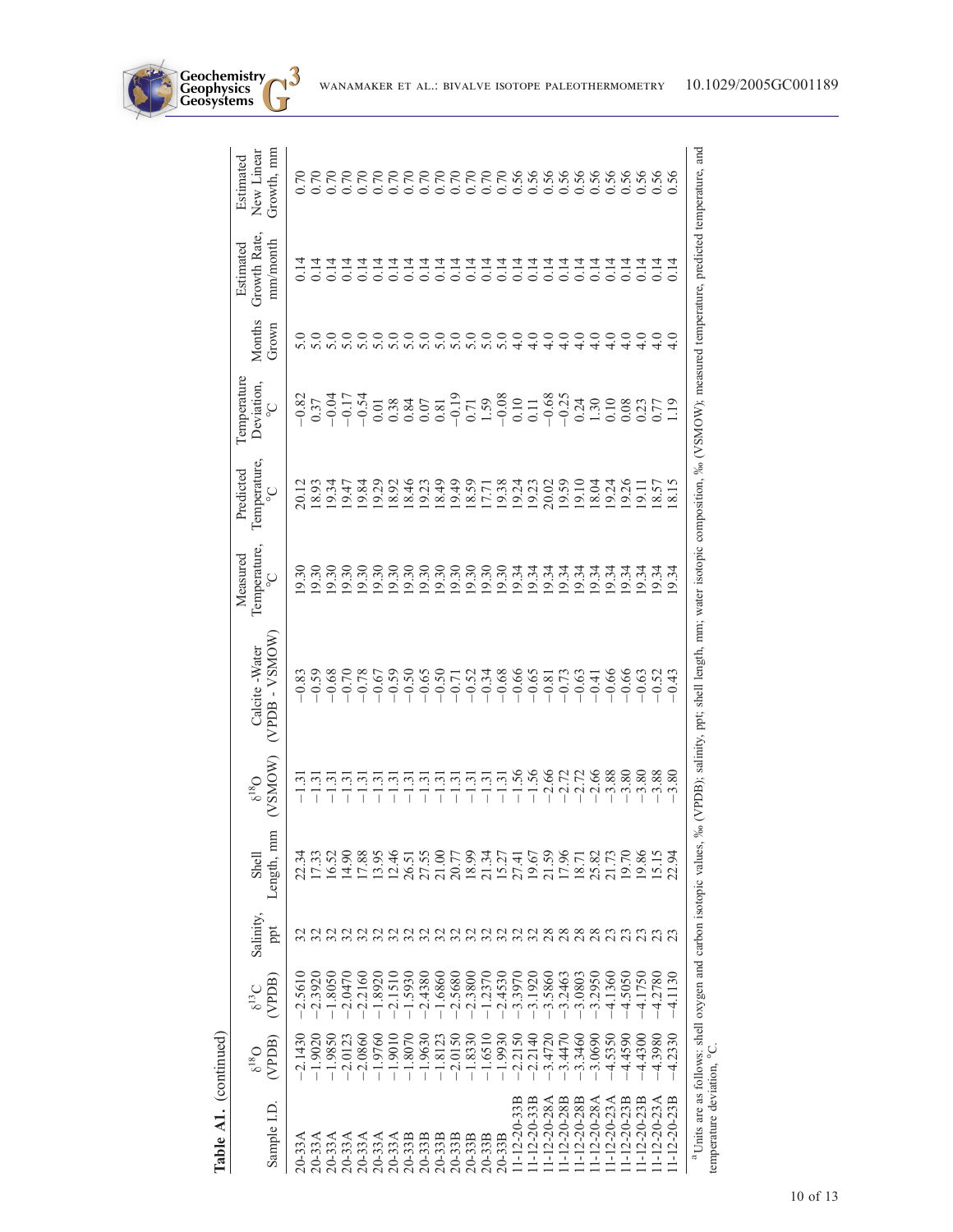| Sample I.D.                | (VPDB)<br>$O_{81}$ <sup>9</sup> | (VPDB)<br>$6^{13}$ C | Salinity,<br>ppt | Length, mm<br>Shell                                                           | (VSMOW)<br>$\delta^{18}O$ | WOMS <sub>A</sub> - ASMO <sub>M</sub><br>Calcite - Water                                                                         | Temperature,<br>Measured<br>$\circ$ | Temperature,<br>Predicted<br>$\sum_{\circ}$ | <b>Temperature</b><br>Deviation,<br>$\mathcal{O}_\circ$                                                                                                                                                                                                                                      | Months<br>Grown  | Growth Rate,<br>mm/month<br>Estimated | Growth, mm<br>New Linear<br>Estimated                     |
|----------------------------|---------------------------------|----------------------|------------------|-------------------------------------------------------------------------------|---------------------------|----------------------------------------------------------------------------------------------------------------------------------|-------------------------------------|---------------------------------------------|----------------------------------------------------------------------------------------------------------------------------------------------------------------------------------------------------------------------------------------------------------------------------------------------|------------------|---------------------------------------|-----------------------------------------------------------|
| $20-33A$                   | $-2.1430$                       | $-2.5610$            |                  | 22.34                                                                         | 1.3                       |                                                                                                                                  | 9.30                                | 20.12                                       |                                                                                                                                                                                                                                                                                              |                  |                                       | 0.70                                                      |
| 20-33A                     | $-1.9020$                       | $-2.3920$            |                  | 17.33                                                                         | $\ddot{1}$                |                                                                                                                                  | 9.30                                | 18.93                                       | $\begin{array}{l} 0.37,0.41,0.52 \\ -0.37,0.41,0.53 \\ -0.37,0.41,0.54 \\ -0.41,0.41 \\ -0.41,0.41 \\ -0.41,0.41 \\ -0.41,0.41 \\ -0.41,0.41 \\ -0.41,0.41 \\ -0.41,0.41 \\ -0.41,0.41 \\ -0.41,0.41 \\ -0.41,0.41 \\ -0.41,0.41 \\ -0.41,0.41 \\ -0.41,0.41 \\ -0.41,0.41 \\ -0.41,0.41 \\$ | $\overline{5.0}$ | 14                                    |                                                           |
| 20-33A                     | $-1.9850$                       | $-1.8050$            |                  | 16.52                                                                         | 1.3                       |                                                                                                                                  | 19.30                               | 19.34                                       |                                                                                                                                                                                                                                                                                              | $\overline{5.0}$ | 14                                    |                                                           |
| 20-33A                     | $-2.0123$                       | $-2.0470$            |                  | 14.90                                                                         | 1.3                       |                                                                                                                                  | 19.30                               | 19.47                                       |                                                                                                                                                                                                                                                                                              | $\overline{5.0}$ | 0.14                                  | 0.70                                                      |
| 20-33A                     | $-2.0860$                       | $-2.2160$            |                  | 17.88                                                                         | $\tilde{\mathbf{C}}$      |                                                                                                                                  | 19.30                               | 19.84                                       |                                                                                                                                                                                                                                                                                              | 5.0              | 0.14                                  | 0.70                                                      |
| $0-33A$                    | $-1.9760$                       | $-1.8920$            |                  | 13.95                                                                         | $\frac{3}{2}$             |                                                                                                                                  | 19.30                               | 19.29                                       |                                                                                                                                                                                                                                                                                              | $\overline{5.0}$ | 0.14                                  | 0.70                                                      |
| $20-33A$                   | $-1.9010$                       | $-2.1510$            |                  | 12.46                                                                         | 1.3                       |                                                                                                                                  | 19.30                               | 18.92                                       |                                                                                                                                                                                                                                                                                              |                  |                                       | 0.70                                                      |
| $0 - 33B$                  | $-1.8070$                       | 1.5930               |                  | 26.51                                                                         | 1.3                       |                                                                                                                                  | 19.30                               | 18.46                                       |                                                                                                                                                                                                                                                                                              | $\frac{0}{5}$ .0 | $0.14$<br>0.14                        | 0.70                                                      |
| $20 - 33B$                 | $-1.9630$                       | $-2.4380$            |                  | 27.55                                                                         | 1.3                       |                                                                                                                                  | 19.30                               | 19.23                                       |                                                                                                                                                                                                                                                                                              | 5.0              | 0.14                                  | 0.70                                                      |
| $20-33B$                   | $-1.8123$                       | $-1.6860$            |                  | 21.00                                                                         | 1.3                       |                                                                                                                                  | 19.30                               | 18.49                                       |                                                                                                                                                                                                                                                                                              | $\overline{5.0}$ | 0.14                                  |                                                           |
| $0 - 33B$                  | $-2.0150$                       | $-2.5680$            | 323              | 20.77                                                                         | $-1.3$                    |                                                                                                                                  | 19.30                               | 19.49                                       |                                                                                                                                                                                                                                                                                              | 5.0              | 0.14                                  |                                                           |
| 20-33B                     | $-1.8330$                       | $-2.3800$            |                  | 18.99                                                                         | $-1.3$                    |                                                                                                                                  | 19.30                               | 18.59                                       |                                                                                                                                                                                                                                                                                              | 5.0              | 0.14                                  | $\begin{array}{c} 0.70 \\ 0.70 \\ 0.0 \\ 0.0 \end{array}$ |
| 20-33B                     | $-1.6510$                       | $-1.2370$            | 22               | 21.34                                                                         | $\frac{3}{2}$             |                                                                                                                                  |                                     | 17.71                                       |                                                                                                                                                                                                                                                                                              | $\overline{5.0}$ | 0.14                                  |                                                           |
| 20-33B                     | $-1.9930$                       | $-2.4530$            |                  | 15.27                                                                         | $-1.31$                   |                                                                                                                                  |                                     | 19.38                                       |                                                                                                                                                                                                                                                                                              | 5.0              |                                       |                                                           |
| $1 - 12 - 20 - 33B$        | $-2.2150$                       | $-3.3970$            |                  | 27.41                                                                         | $-1.56$                   |                                                                                                                                  | 19.34<br>19.34                      | 19.24                                       |                                                                                                                                                                                                                                                                                              | $\frac{6}{4}$    | 0.14                                  | 0.70<br>0.70<br>0.56                                      |
| $1 - 12 - 20 - 33B$        | $-2.2140$                       | $-3.1920$            |                  | 19.67                                                                         | $-1.56$                   |                                                                                                                                  | 19.34                               | 19.23                                       |                                                                                                                                                                                                                                                                                              | $\frac{6}{4}$    |                                       |                                                           |
| $1 - 12 - 20 - 28$ A       | $-3.4720$                       | $-3.5860$            | 388              | 21.59                                                                         | $-2.66$                   |                                                                                                                                  | 9.34                                | 20.02                                       |                                                                                                                                                                                                                                                                                              | $\frac{6}{4}$    | न न न<br>0 0 0<br>0 0 0               | $0.56$<br>$0.56$<br>$0.56$<br>$0.56$<br>$0.56$            |
| $1 - 12 - 20 - 28B$        | $-3.4470$                       | $-3.2463$            |                  | 17.96                                                                         |                           |                                                                                                                                  | 19.34                               | 19.59                                       |                                                                                                                                                                                                                                                                                              | $\frac{6}{4}$    |                                       |                                                           |
| $1 - 12 - 20 - 28B$        | $-3.3460$                       | $-3.0803$            | 28               | 18.71                                                                         | $77768$<br>$-179.88$      |                                                                                                                                  | 19.34                               | 19.10                                       |                                                                                                                                                                                                                                                                                              | $\frac{0}{4}$    | 0.14                                  |                                                           |
| $1 - 12 - 20 - 28A$        | $-3.0690$                       | $-3.2950$            |                  | 25.82                                                                         |                           |                                                                                                                                  | 9.34                                | 18.04                                       |                                                                                                                                                                                                                                                                                              | $\ddot{ }$       | $\overline{C}$                        |                                                           |
| $1 - 12 - 20 - 23A$        | $-4.5350$                       | $-4.1360$            |                  | 21.73                                                                         |                           |                                                                                                                                  | 9.34                                | 19.24                                       |                                                                                                                                                                                                                                                                                              | $\frac{6}{1}$    | 14                                    |                                                           |
| $1 - 12 - 20 - 23B$        | $-4.4590$                       | $-4.5050$            |                  | 19.70                                                                         | $-3.80$                   |                                                                                                                                  | 19.34                               | 19.26                                       |                                                                                                                                                                                                                                                                                              | $\frac{6}{1}$    | 0.14                                  | 0.56                                                      |
| $1 - 12 - 20 - 23B$        | $-4.4300$                       | $-4.1750$            |                  | 19.86                                                                         |                           | 66374                                                                                                                            |                                     | 19.1                                        |                                                                                                                                                                                                                                                                                              | $\frac{6}{4}$    | $\frac{14}{14}$                       |                                                           |
| $1 - 12 - 20 - 23A$        | $-4.3980$                       | $-4.2780$            |                  | 15.15                                                                         | $-3.80$<br>$-3.88$        |                                                                                                                                  | $9.34$<br>9.34                      | 18.57                                       |                                                                                                                                                                                                                                                                                              | $\frac{6}{4}$    |                                       | 0.56                                                      |
| $1 - 12 - 20 - 23B$        | 4.2330                          | 4.1130               |                  | 2.94                                                                          | 3.80                      |                                                                                                                                  | 9.34                                |                                             |                                                                                                                                                                                                                                                                                              |                  | 0.14                                  | $\overline{56}$                                           |
| temperature deviation, °C. |                                 |                      |                  | <sup>a</sup> Units are as follows: shell oxygen and carbon isotopic values, ‰ |                           | (VPDB); salinity, ppt; shell length, mm; water isotopic composition, ‰ (VSMOW); measured temperature, predicted temperature, and |                                     |                                             |                                                                                                                                                                                                                                                                                              |                  |                                       |                                                           |

**Geochemistry Geophysics**

> Table A1. (continued) Table A1. (continued)

WANAMAKER ET AL.: BIVALVE ISOTOPE PALEOTHERMOMETRY 10.1029/2005GC001189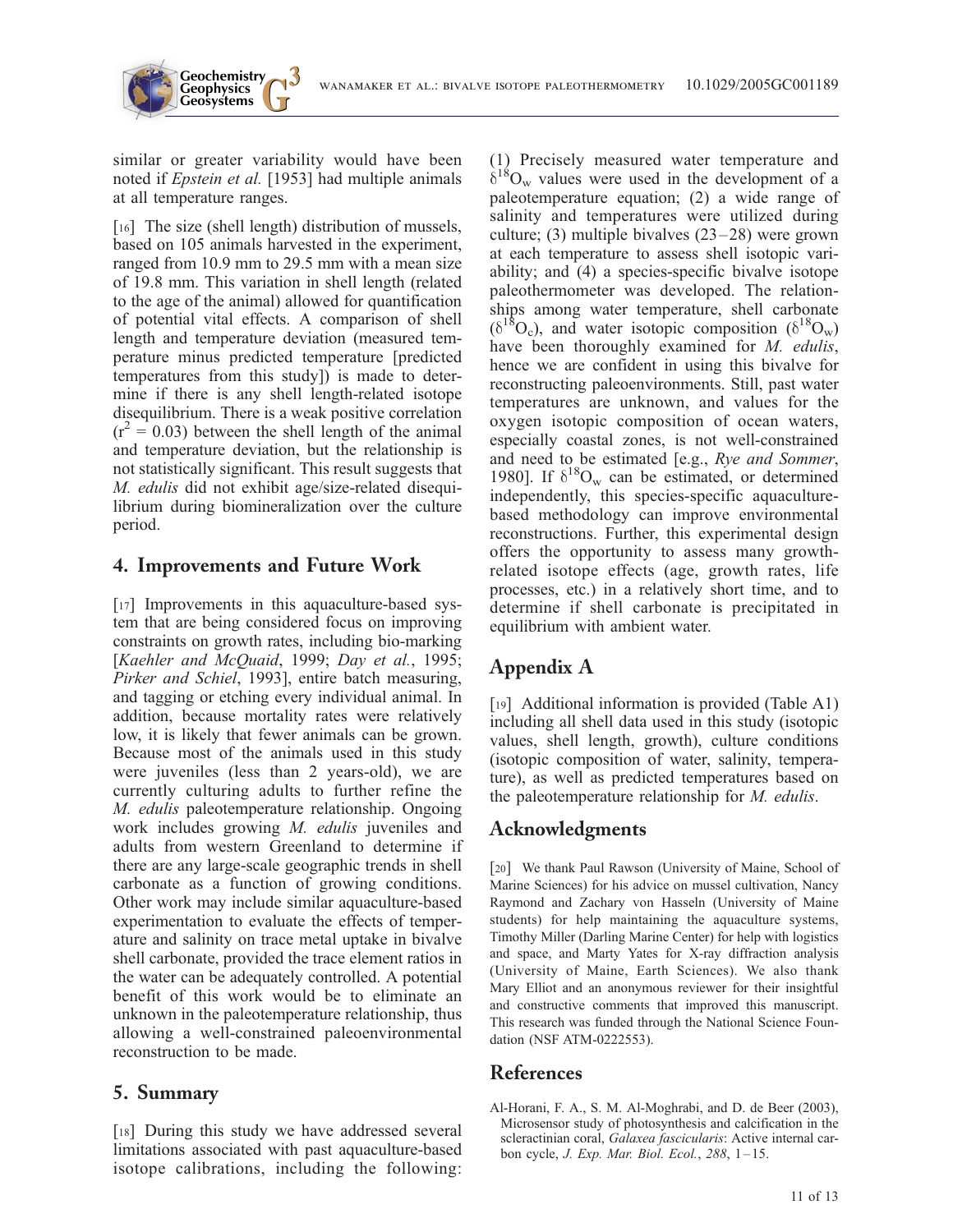similar or greater variability would have been noted if Epstein et al. [1953] had multiple animals at all temperature ranges.

**Geochemistry Geophysics**

[16] The size (shell length) distribution of mussels, based on 105 animals harvested in the experiment, ranged from 10.9 mm to 29.5 mm with a mean size of 19.8 mm. This variation in shell length (related to the age of the animal) allowed for quantification of potential vital effects. A comparison of shell length and temperature deviation (measured temperature minus predicted temperature [predicted temperatures from this study]) is made to determine if there is any shell length-related isotope disequilibrium. There is a weak positive correlation  $(r^2 = 0.03)$  between the shell length of the animal and temperature deviation, but the relationship is not statistically significant. This result suggests that M. edulis did not exhibit age/size-related disequilibrium during biomineralization over the culture period.

### 4. Improvements and Future Work

[17] Improvements in this aquaculture-based system that are being considered focus on improving constraints on growth rates, including bio-marking [Kaehler and McQuaid, 1999; Day et al., 1995; Pirker and Schiel, 1993], entire batch measuring, and tagging or etching every individual animal. In addition, because mortality rates were relatively low, it is likely that fewer animals can be grown. Because most of the animals used in this study were juveniles (less than 2 years-old), we are currently culturing adults to further refine the M. edulis paleotemperature relationship. Ongoing work includes growing M. edulis juveniles and adults from western Greenland to determine if there are any large-scale geographic trends in shell carbonate as a function of growing conditions. Other work may include similar aquaculture-based experimentation to evaluate the effects of temperature and salinity on trace metal uptake in bivalve shell carbonate, provided the trace element ratios in the water can be adequately controlled. A potential benefit of this work would be to eliminate an unknown in the paleotemperature relationship, thus allowing a well-constrained paleoenvironmental reconstruction to be made.

#### 5. Summary

[18] During this study we have addressed several limitations associated with past aquaculture-based isotope calibrations, including the following: (1) Precisely measured water temperature and  $\delta^{18}O_w$  values were used in the development of a paleotemperature equation; (2) a wide range of salinity and temperatures were utilized during culture; (3) multiple bivalves (23–28) were grown at each temperature to assess shell isotopic variability; and (4) a species-specific bivalve isotope paleothermometer was developed. The relationships among water temperature, shell carbonate  $(\delta^{18}O_c)$ , and water isotopic composition  $(\delta^{18}O_w)$ have been thoroughly examined for M. edulis, hence we are confident in using this bivalve for reconstructing paleoenvironments. Still, past water temperatures are unknown, and values for the oxygen isotopic composition of ocean waters, especially coastal zones, is not well-constrained and need to be estimated [e.g., Rye and Sommer, 1980]. If  $\delta^{18}O_w$  can be estimated, or determined independently, this species-specific aquaculturebased methodology can improve environmental reconstructions. Further, this experimental design offers the opportunity to assess many growthrelated isotope effects (age, growth rates, life processes, etc.) in a relatively short time, and to determine if shell carbonate is precipitated in equilibrium with ambient water.

# Appendix A

[19] Additional information is provided (Table A1) including all shell data used in this study (isotopic values, shell length, growth), culture conditions (isotopic composition of water, salinity, temperature), as well as predicted temperatures based on the paleotemperature relationship for M. edulis.

# Acknowledgments

[20] We thank Paul Rawson (University of Maine, School of Marine Sciences) for his advice on mussel cultivation, Nancy Raymond and Zachary von Hasseln (University of Maine students) for help maintaining the aquaculture systems, Timothy Miller (Darling Marine Center) for help with logistics and space, and Marty Yates for X-ray diffraction analysis (University of Maine, Earth Sciences). We also thank Mary Elliot and an anonymous reviewer for their insightful and constructive comments that improved this manuscript. This research was funded through the National Science Foundation (NSF ATM-0222553).

# References

Al-Horani, F. A., S. M. Al-Moghrabi, and D. de Beer (2003), Microsensor study of photosynthesis and calcification in the scleractinian coral, Galaxea fascicularis: Active internal carbon cycle, *J. Exp. Mar. Biol. Ecol.*, 288, 1-15.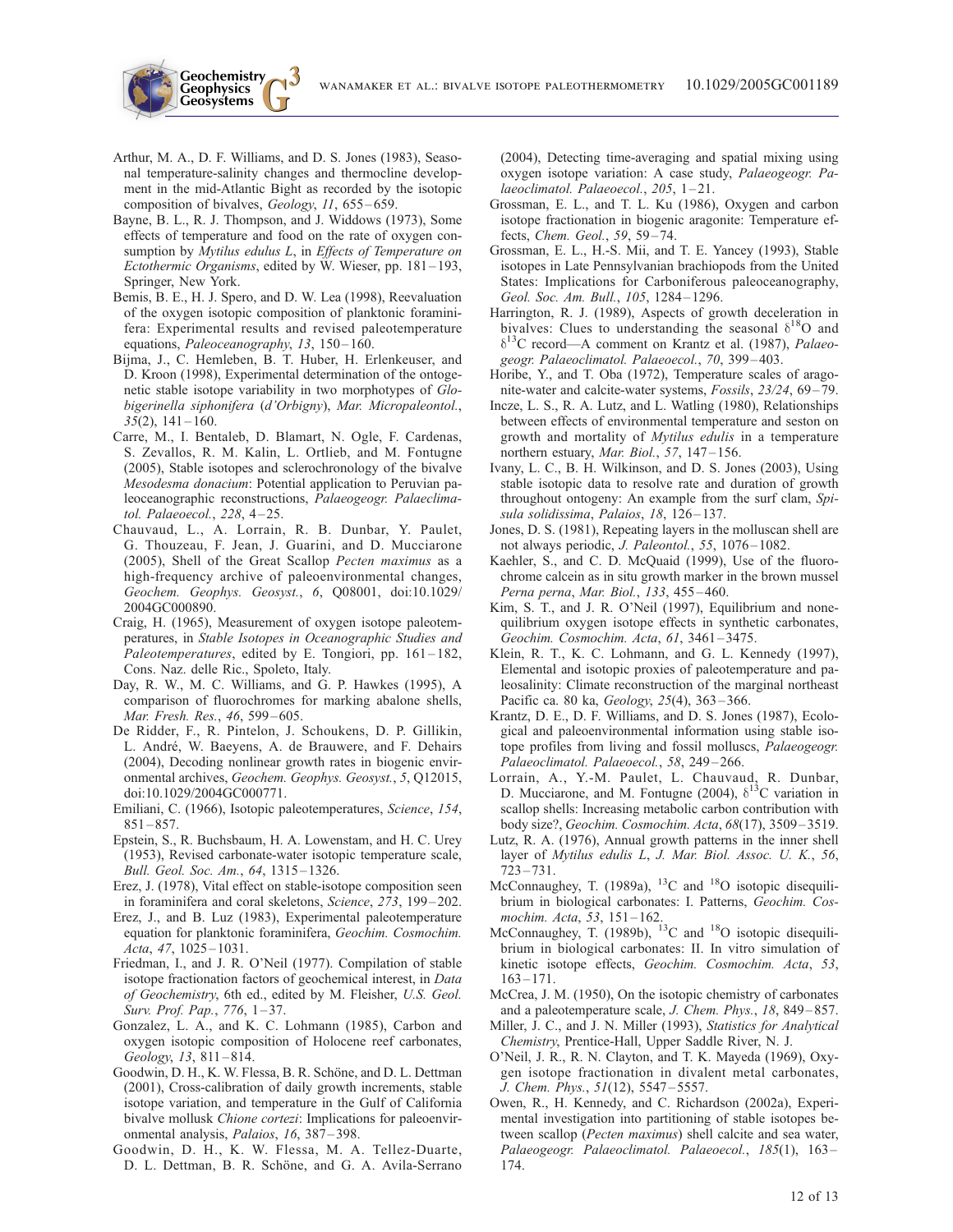Arthur, M. A., D. F. Williams, and D. S. Jones (1983), Seasonal temperature-salinity changes and thermocline development in the mid-Atlantic Bight as recorded by the isotopic composition of bivalves, Geology, 11, 655-659.

**Geochemistry Geophysics**

- Bayne, B. L., R. J. Thompson, and J. Widdows (1973), Some effects of temperature and food on the rate of oxygen consumption by Mytilus edulus L, in Effects of Temperature on Ectothermic Organisms, edited by W. Wieser, pp. 181 – 193, Springer, New York.
- Bemis, B. E., H. J. Spero, and D. W. Lea (1998), Reevaluation of the oxygen isotopic composition of planktonic foraminifera: Experimental results and revised paleotemperature equations, Paleoceanography, 13, 150-160.
- Bijma, J., C. Hemleben, B. T. Huber, H. Erlenkeuser, and D. Kroon (1998), Experimental determination of the ontogenetic stable isotope variability in two morphotypes of Globigerinella siphonifera (d'Orbigny), Mar. Micropaleontol.,  $35(2)$ ,  $141 - 160$ .
- Carre, M., I. Bentaleb, D. Blamart, N. Ogle, F. Cardenas, S. Zevallos, R. M. Kalin, L. Ortlieb, and M. Fontugne (2005), Stable isotopes and sclerochronology of the bivalve Mesodesma donacium: Potential application to Peruvian paleoceanographic reconstructions, Palaeogeogr. Palaeclimatol. Palaeoecol., 228, 4-25.
- Chauvaud, L., A. Lorrain, R. B. Dunbar, Y. Paulet, G. Thouzeau, F. Jean, J. Guarini, and D. Mucciarone (2005), Shell of the Great Scallop Pecten maximus as a high-frequency archive of paleoenvironmental changes, Geochem. Geophys. Geosyst., 6, Q08001, doi:10.1029/ 2004GC000890.
- Craig, H. (1965), Measurement of oxygen isotope paleotemperatures, in Stable Isotopes in Oceanographic Studies and Paleotemperatures, edited by E. Tongiori, pp.  $161-182$ , Cons. Naz. delle Ric., Spoleto, Italy.
- Day, R. W., M. C. Williams, and G. P. Hawkes (1995), A comparison of fluorochromes for marking abalone shells, Mar. Fresh. Res., 46, 599-605.
- De Ridder, F., R. Pintelon, J. Schoukens, D. P. Gillikin, L. André, W. Baeyens, A. de Brauwere, and F. Dehairs (2004), Decoding nonlinear growth rates in biogenic environmental archives, Geochem. Geophys. Geosyst., 5, Q12015, doi:10.1029/2004GC000771.
- Emiliani, C. (1966), Isotopic paleotemperatures, Science, 154,  $851 - 857$ .
- Epstein, S., R. Buchsbaum, H. A. Lowenstam, and H. C. Urey (1953), Revised carbonate-water isotopic temperature scale, Bull. Geol. Soc. Am., 64, 1315 – 1326.
- Erez, J. (1978), Vital effect on stable-isotope composition seen in foraminifera and coral skeletons, Science, 273, 199–202.
- Erez, J., and B. Luz (1983), Experimental paleotemperature equation for planktonic foraminifera, Geochim. Cosmochim. Acta, 47, 1025-1031.
- Friedman, I., and J. R. O'Neil (1977). Compilation of stable isotope fractionation factors of geochemical interest, in Data of Geochemistry, 6th ed., edited by M. Fleisher, U.S. Geol. Surv. Prof. Pap., 776, 1-37.
- Gonzalez, L. A., and K. C. Lohmann (1985), Carbon and oxygen isotopic composition of Holocene reef carbonates, Geology, 13, 811-814.
- Goodwin, D. H., K. W. Flessa, B. R. Schöne, and D. L. Dettman (2001), Cross-calibration of daily growth increments, stable isotope variation, and temperature in the Gulf of California bivalve mollusk Chione cortezi: Implications for paleoenvironmental analysis, Palaios, 16, 387-398.
- Goodwin, D. H., K. W. Flessa, M. A. Tellez-Duarte, D. L. Dettman, B. R. Schöne, and G. A. Avila-Serrano

(2004), Detecting time-averaging and spatial mixing using oxygen isotope variation: A case study, Palaeogeogr. Palaeoclimatol. Palaeoecol., 205, 1-21.

- Grossman, E. L., and T. L. Ku (1986), Oxygen and carbon isotope fractionation in biogenic aragonite: Temperature effects, Chem. Geol., 59, 59-74.
- Grossman, E. L., H.-S. Mii, and T. E. Yancey (1993), Stable isotopes in Late Pennsylvanian brachiopods from the United States: Implications for Carboniferous paleoceanography, Geol. Soc. Am. Bull., 105, 1284-1296.
- Harrington, R. J. (1989), Aspects of growth deceleration in bivalves: Clues to understanding the seasonal  $\delta^{18}O$  and  $\delta^{13}$ C record—A comment on Krantz et al. (1987), Palaeogeogr. Palaeoclimatol. Palaeoecol., 70, 399-403.
- Horibe, Y., and T. Oba (1972), Temperature scales of aragonite-water and calcite-water systems, Fossils, 23/24, 69–79.
- Incze, L. S., R. A. Lutz, and L. Watling (1980), Relationships between effects of environmental temperature and seston on growth and mortality of Mytilus edulis in a temperature northern estuary, Mar. Biol., 57, 147-156.
- Ivany, L. C., B. H. Wilkinson, and D. S. Jones (2003), Using stable isotopic data to resolve rate and duration of growth throughout ontogeny: An example from the surf clam, Spisula solidissima, Palaios, 18, 126-137.
- Jones, D. S. (1981), Repeating layers in the molluscan shell are not always periodic, J. Paleontol., 55, 1076-1082.
- Kaehler, S., and C. D. McQuaid (1999), Use of the fluorochrome calcein as in situ growth marker in the brown mussel Perna perna, Mar. Biol., 133, 455-460.
- Kim, S. T., and J. R. O'Neil (1997), Equilibrium and nonequilibrium oxygen isotope effects in synthetic carbonates, Geochim. Cosmochim. Acta, 61, 3461 – 3475.
- Klein, R. T., K. C. Lohmann, and G. L. Kennedy (1997), Elemental and isotopic proxies of paleotemperature and paleosalinity: Climate reconstruction of the marginal northeast Pacific ca. 80 ka, *Geology*, 25(4), 363-366.
- Krantz, D. E., D. F. Williams, and D. S. Jones (1987), Ecological and paleoenvironmental information using stable isotope profiles from living and fossil molluscs, Palaeogeogr. Palaeoclimatol. Palaeoecol., 58, 249-266.
- Lorrain, A., Y.-M. Paulet, L. Chauvaud, R. Dunbar, D. Mucciarone, and M. Fontugne (2004),  $\delta^{13}$ C variation in scallop shells: Increasing metabolic carbon contribution with body size?, Geochim. Cosmochim. Acta, 68(17), 3509 – 3519.
- Lutz, R. A. (1976), Annual growth patterns in the inner shell layer of Mytilus edulis L, J. Mar. Biol. Assoc. U. K., 56,  $723 - 731.$
- McConnaughey, T. (1989a), <sup>13</sup>C and <sup>18</sup>O isotopic disequilibrium in biological carbonates: I. Patterns, Geochim. Cosmochim. Acta, 53, 151-162.
- McConnaughey, T. (1989b), <sup>13</sup>C and <sup>18</sup>O isotopic disequilibrium in biological carbonates: II. In vitro simulation of kinetic isotope effects, Geochim. Cosmochim. Acta, 53,  $163 - 171.$
- McCrea, J. M. (1950), On the isotopic chemistry of carbonates and a paleotemperature scale, J. Chem. Phys., 18, 849 – 857.
- Miller, J. C., and J. N. Miller (1993), Statistics for Analytical Chemistry, Prentice-Hall, Upper Saddle River, N. J.
- O'Neil, J. R., R. N. Clayton, and T. K. Mayeda (1969), Oxygen isotope fractionation in divalent metal carbonates, J. Chem. Phys., 51(12), 5547 – 5557.
- Owen, R., H. Kennedy, and C. Richardson (2002a), Experimental investigation into partitioning of stable isotopes between scallop (Pecten maximus) shell calcite and sea water, Palaeogeogr. Palaeoclimatol. Palaeoecol., 185(1), 163-174.